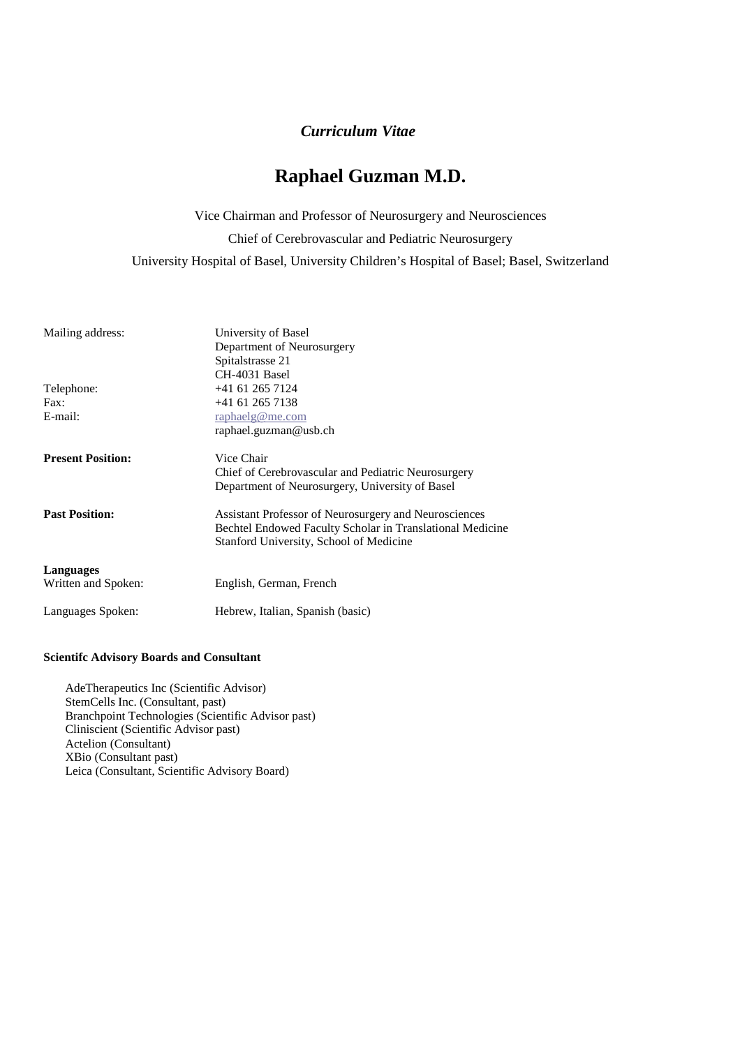## *Curriculum Vitae*

# **Raphael Guzman M.D.**

Vice Chairman and Professor of Neurosurgery and Neurosciences

Chief of Cerebrovascular and Pediatric Neurosurgery

University Hospital of Basel, University Children's Hospital of Basel; Basel, Switzerland

| Mailing address:         | University of Basel<br>Department of Neurosurgery<br>Spitalstrasse 21<br>CH-4031 Basel                                                                        |
|--------------------------|---------------------------------------------------------------------------------------------------------------------------------------------------------------|
| Telephone:               | $+41$ 61 265 7124                                                                                                                                             |
| Fax:                     | $+41$ 61 265 7138                                                                                                                                             |
| E-mail:                  | raphaelg@me.com                                                                                                                                               |
|                          | raphael.guzman@usb.ch                                                                                                                                         |
| <b>Present Position:</b> | Vice Chair                                                                                                                                                    |
|                          | Chief of Cerebrovascular and Pediatric Neurosurgery<br>Department of Neurosurgery, University of Basel                                                        |
|                          |                                                                                                                                                               |
| <b>Past Position:</b>    | Assistant Professor of Neurosurgery and Neurosciences<br>Bechtel Endowed Faculty Scholar in Translational Medicine<br>Stanford University, School of Medicine |
|                          |                                                                                                                                                               |
| Languages                |                                                                                                                                                               |
| Written and Spoken:      | English, German, French                                                                                                                                       |
| Languages Spoken:        | Hebrew, Italian, Spanish (basic)                                                                                                                              |

#### **Scientifc Advisory Boards and Consultant**

AdeTherapeutics Inc (Scientific Advisor) StemCells Inc. (Consultant, past) Branchpoint Technologies (Scientific Advisor past) Cliniscient (Scientific Advisor past) Actelion (Consultant) XBio (Consultant past) Leica (Consultant, Scientific Advisory Board)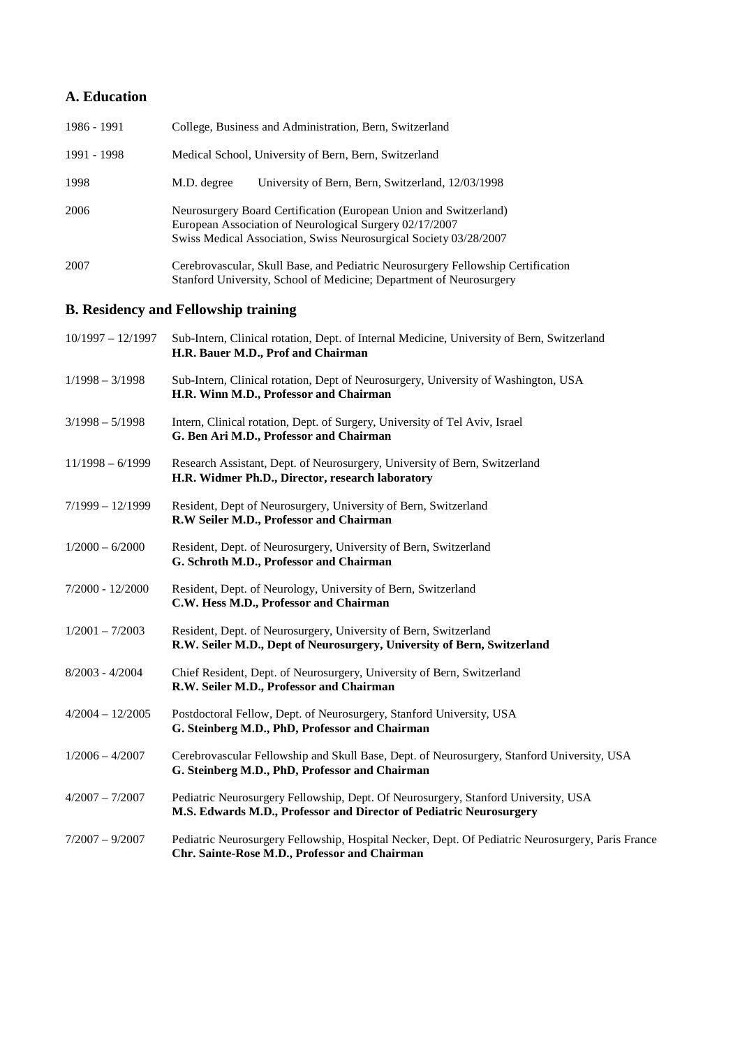## **A. Education**

| 1986 - 1991 | College, Business and Administration, Bern, Switzerland                                                                                                                                           |
|-------------|---------------------------------------------------------------------------------------------------------------------------------------------------------------------------------------------------|
| 1991 - 1998 | Medical School, University of Bern, Bern, Switzerland                                                                                                                                             |
| 1998        | University of Bern, Bern, Switzerland, 12/03/1998<br>M.D. degree                                                                                                                                  |
| 2006        | Neurosurgery Board Certification (European Union and Switzerland)<br>European Association of Neurological Surgery 02/17/2007<br>Swiss Medical Association, Swiss Neurosurgical Society 03/28/2007 |
| 2007        | Cerebrovascular, Skull Base, and Pediatric Neurosurgery Fellowship Certification<br>Stanford University, School of Medicine; Department of Neurosurgery                                           |

# **B. Residency and Fellowship training**

| $10/1997 - 12/1997$ | Sub-Intern, Clinical rotation, Dept. of Internal Medicine, University of Bern, Switzerland<br>H.R. Bauer M.D., Prof and Chairman                          |
|---------------------|-----------------------------------------------------------------------------------------------------------------------------------------------------------|
| $1/1998 - 3/1998$   | Sub-Intern, Clinical rotation, Dept of Neurosurgery, University of Washington, USA<br>H.R. Winn M.D., Professor and Chairman                              |
| $3/1998 - 5/1998$   | Intern, Clinical rotation, Dept. of Surgery, University of Tel Aviv, Israel<br>G. Ben Ari M.D., Professor and Chairman                                    |
| $11/1998 - 6/1999$  | Research Assistant, Dept. of Neurosurgery, University of Bern, Switzerland<br>H.R. Widmer Ph.D., Director, research laboratory                            |
| $7/1999 - 12/1999$  | Resident, Dept of Neurosurgery, University of Bern, Switzerland<br>R.W Seiler M.D., Professor and Chairman                                                |
| $1/2000 - 6/2000$   | Resident, Dept. of Neurosurgery, University of Bern, Switzerland<br>G. Schroth M.D., Professor and Chairman                                               |
| 7/2000 - 12/2000    | Resident, Dept. of Neurology, University of Bern, Switzerland<br>C.W. Hess M.D., Professor and Chairman                                                   |
| $1/2001 - 7/2003$   | Resident, Dept. of Neurosurgery, University of Bern, Switzerland<br>R.W. Seiler M.D., Dept of Neurosurgery, University of Bern, Switzerland               |
| $8/2003 - 4/2004$   | Chief Resident, Dept. of Neurosurgery, University of Bern, Switzerland<br>R.W. Seiler M.D., Professor and Chairman                                        |
| $4/2004 - 12/2005$  | Postdoctoral Fellow, Dept. of Neurosurgery, Stanford University, USA<br>G. Steinberg M.D., PhD, Professor and Chairman                                    |
| $1/2006 - 4/2007$   | Cerebrovascular Fellowship and Skull Base, Dept. of Neurosurgery, Stanford University, USA<br>G. Steinberg M.D., PhD, Professor and Chairman              |
| $4/2007 - 7/2007$   | Pediatric Neurosurgery Fellowship, Dept. Of Neurosurgery, Stanford University, USA<br>M.S. Edwards M.D., Professor and Director of Pediatric Neurosurgery |
| $7/2007 - 9/2007$   | Pediatric Neurosurgery Fellowship, Hospital Necker, Dept. Of Pediatric Neurosurgery, Paris France<br>Chr. Sainte-Rose M.D., Professor and Chairman        |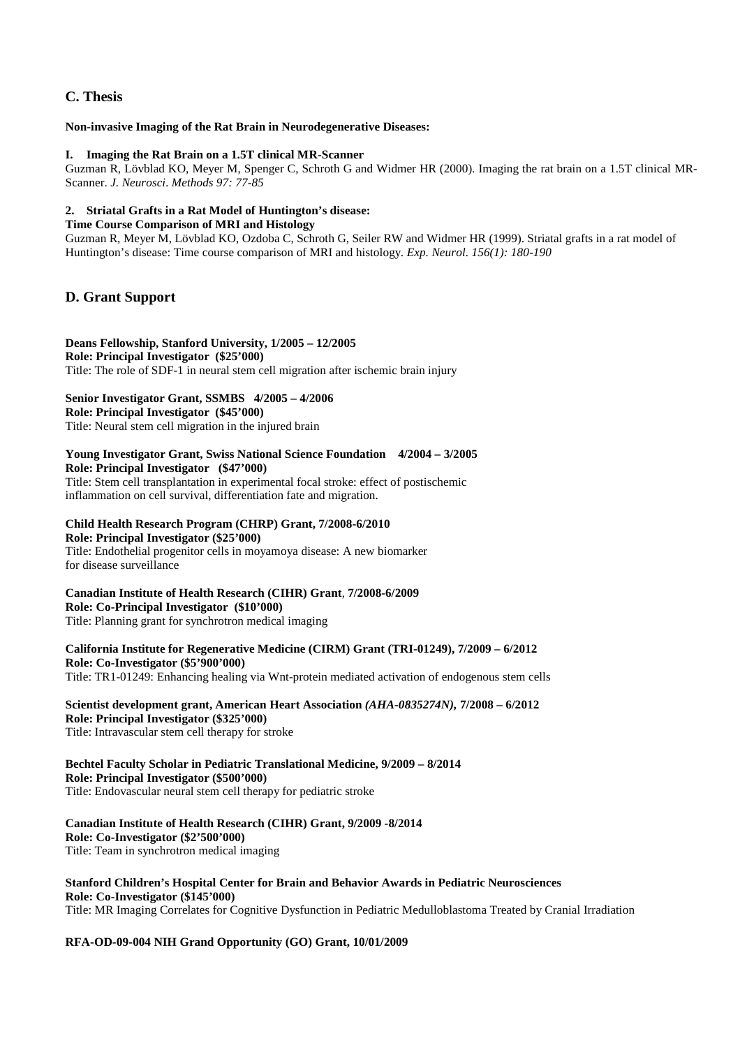## **C. Thesis**

#### **Non-invasive Imaging of the Rat Brain in Neurodegenerative Diseases:**

#### **I. Imaging the Rat Brain on a 1.5T clinical MR-Scanner**

Guzman R, Lövblad KO, Meyer M, Spenger C, Schroth G and Widmer HR (2000). Imaging the rat brain on a 1.5T clinical MR-Scanner. *J. Neurosci. Methods 97: 77-85* 

#### **2. Striatal Grafts in a Rat Model of Huntington's disease:**

#### **Time Course Comparison of MRI and Histology**

Guzman R, Meyer M, Lövblad KO, Ozdoba C, Schroth G, Seiler RW and Widmer HR (1999). Striatal grafts in a rat model of Huntington's disease: Time course comparison of MRI and histology. *Exp. Neurol. 156(1): 180-190* 

## **D. Grant Support**

#### **Deans Fellowship, Stanford University, 1/2005 – 12/2005 Role: Principal Investigator (\$25'000)**  Title: The role of SDF-1 in neural stem cell migration after ischemic brain injury

## **Senior Investigator Grant, SSMBS 4/2005 – 4/2006**

**Role: Principal Investigator (\$45'000)**  Title: Neural stem cell migration in the injured brain

#### **Young Investigator Grant, Swiss National Science Foundation 4/2004 – 3/2005 Role: Principal Investigator (\$47'000)**

Title: Stem cell transplantation in experimental focal stroke: effect of postischemic inflammation on cell survival, differentiation fate and migration.

## **Child Health Research Program (CHRP) Grant, 7/2008-6/2010**

#### **Role: Principal Investigator (\$25'000)**

Title: Endothelial progenitor cells in moyamoya disease: A new biomarker for disease surveillance

#### **Canadian Institute of Health Research (CIHR) Grant**, **7/2008-6/2009 Role: Co-Principal Investigator (\$10'000)**

Title: Planning grant for synchrotron medical imaging

#### **California Institute for Regenerative Medicine (CIRM) Grant (TRI-01249), 7/2009 – 6/2012 Role: Co-Investigator (\$5'900'000)**

Title: TR1-01249: Enhancing healing via Wnt-protein mediated activation of endogenous stem cells

#### **Scientist development grant, American Heart Association** *(AHA-0835274N),* **7/2008 – 6/2012 Role: Principal Investigator (\$325'000)**

Title: Intravascular stem cell therapy for stroke

#### **Bechtel Faculty Scholar in Pediatric Translational Medicine, 9/2009 – 8/2014 Role: Principal Investigator (\$500'000)**

Title: Endovascular neural stem cell therapy for pediatric stroke

## **Canadian Institute of Health Research (CIHR) Grant, 9/2009 -8/2014 Role: Co-Investigator (\$2'500'000)**

Title: Team in synchrotron medical imaging

#### **Stanford Children's Hospital Center for Brain and Behavior Awards in Pediatric Neurosciences Role: Co-Investigator (\$145'000)**

Title: MR Imaging Correlates for Cognitive Dysfunction in Pediatric Medulloblastoma Treated by Cranial Irradiation

#### **RFA-OD-09-004 NIH Grand Opportunity (GO) Grant, 10/01/2009**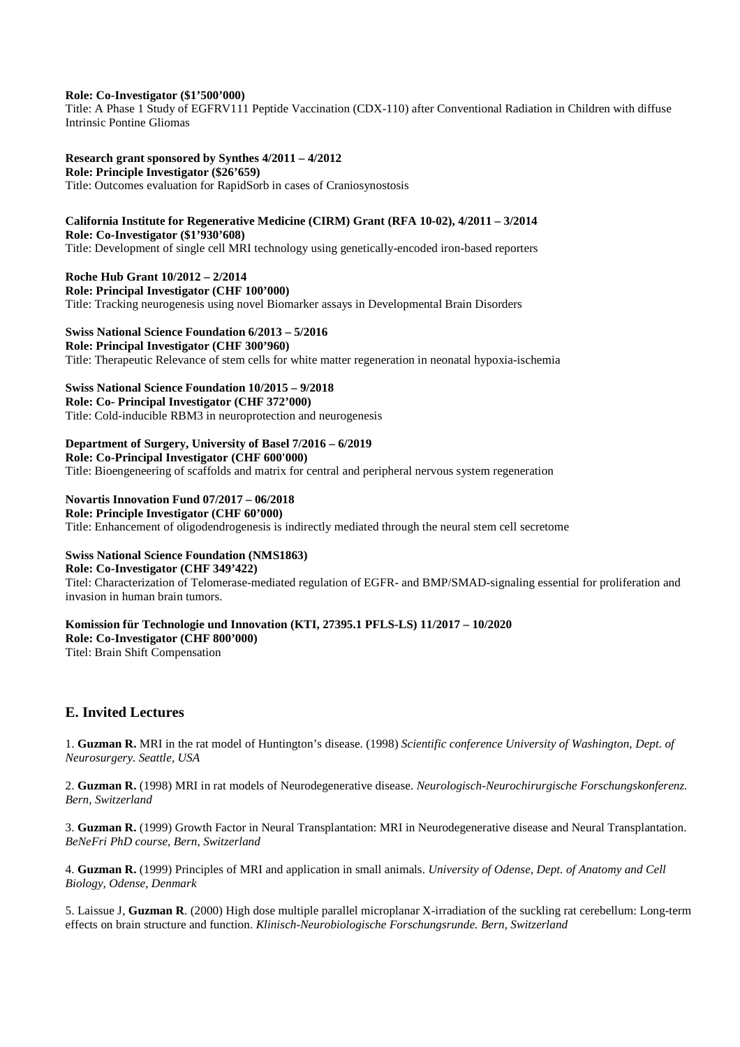#### **Role: Co-Investigator (\$1'500'000)**

Title: A Phase 1 Study of EGFRV111 Peptide Vaccination (CDX-110) after Conventional Radiation in Children with diffuse Intrinsic Pontine Gliomas

#### **Research grant sponsored by Synthes 4/2011 – 4/2012**

**Role: Principle Investigator (\$26'659)** 

Title: Outcomes evaluation for RapidSorb in cases of Craniosynostosis

#### **California Institute for Regenerative Medicine (CIRM) Grant (RFA 10-02), 4/2011 – 3/2014 Role: Co-Investigator (\$1'930'608)**

Title: Development of single cell MRI technology using genetically-encoded iron-based reporters

**Roche Hub Grant 10/2012 – 2/2014 Role: Principal Investigator (CHF 100'000)** 

Title: Tracking neurogenesis using novel Biomarker assays in Developmental Brain Disorders

#### **Swiss National Science Foundation 6/2013 – 5/2016**

**Role: Principal Investigator (CHF 300'960)**  Title: Therapeutic Relevance of stem cells for white matter regeneration in neonatal hypoxia-ischemia

## **Swiss National Science Foundation 10/2015 – 9/2018**

**Role: Co- Principal Investigator (CHF 372'000)** 

Title: Cold-inducible RBM3 in neuroprotection and neurogenesis

#### **Department of Surgery, University of Basel 7/2016 – 6/2019**

**Role: Co-Principal Investigator (CHF 600'000)** 

Title: Bioengeneering of scaffolds and matrix for central and peripheral nervous system regeneration

### **Novartis Innovation Fund 07/2017 – 06/2018**

**Role: Principle Investigator (CHF 60'000)** 

Title: Enhancement of oligodendrogenesis is indirectly mediated through the neural stem cell secretome

#### **Swiss National Science Foundation (NMS1863)**

#### **Role: Co-Investigator (CHF 349'422)**

Titel: Characterization of Telomerase-mediated regulation of EGFR- and BMP/SMAD-signaling essential for proliferation and invasion in human brain tumors.

## **Komission für Technologie und Innovation (KTI, 27395.1 PFLS-LS) 11/2017 – 10/2020 Role: Co-Investigator (CHF 800'000)**

Titel: Brain Shift Compensation

## **E. Invited Lectures**

1. **Guzman R.** MRI in the rat model of Huntington's disease. (1998) *Scientific conference University of Washington, Dept. of Neurosurgery. Seattle, USA* 

2. **Guzman R.** (1998) MRI in rat models of Neurodegenerative disease. *Neurologisch-Neurochirurgische Forschungskonferenz. Bern, Switzerland* 

3. **Guzman R.** (1999) Growth Factor in Neural Transplantation: MRI in Neurodegenerative disease and Neural Transplantation. *BeNeFri PhD course, Bern, Switzerland* 

4. **Guzman R.** (1999) Principles of MRI and application in small animals. *University of Odense, Dept. of Anatomy and Cell Biology, Odense, Denmark* 

5. Laissue J, **Guzman R**. (2000) High dose multiple parallel microplanar X-irradiation of the suckling rat cerebellum: Long-term effects on brain structure and function. *Klinisch-Neurobiologische Forschungsrunde. Bern, Switzerland*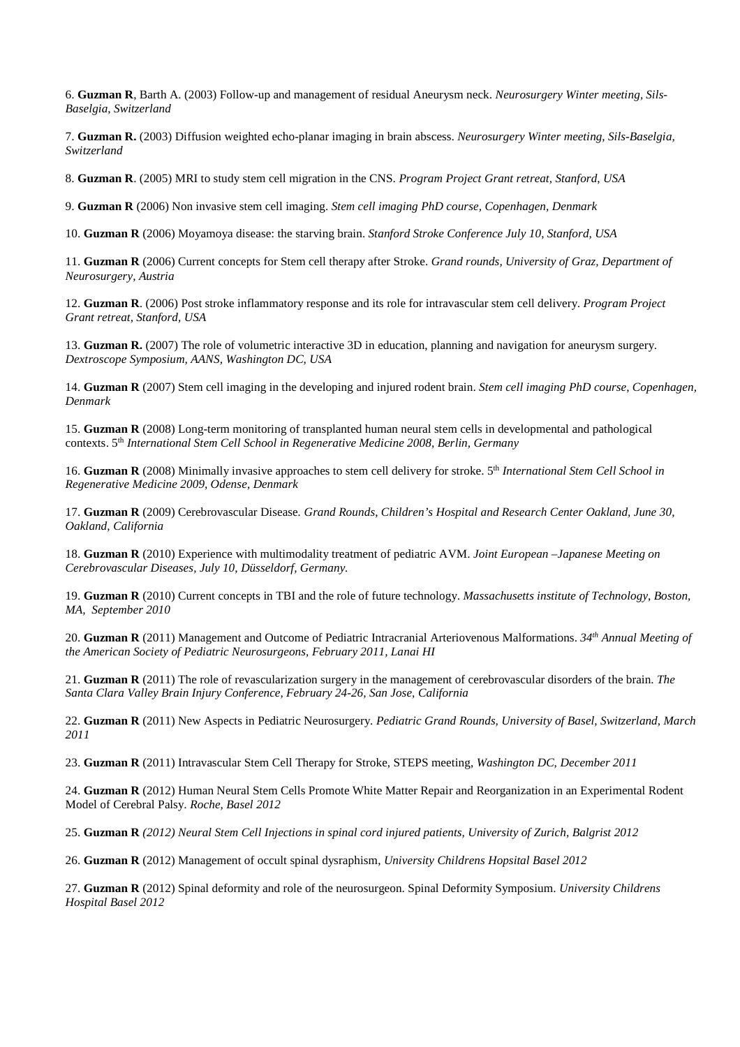6. **Guzman R**, Barth A. (2003) Follow-up and management of residual Aneurysm neck. *Neurosurgery Winter meeting, Sils-Baselgia, Switzerland* 

7. **Guzman R.** (2003) Diffusion weighted echo-planar imaging in brain abscess. *Neurosurgery Winter meeting, Sils-Baselgia, Switzerland* 

8. **Guzman R**. (2005) MRI to study stem cell migration in the CNS. *Program Project Grant retreat, Stanford, USA* 

9. **Guzman R** (2006) Non invasive stem cell imaging. *Stem cell imaging PhD course, Copenhagen, Denmark* 

10. **Guzman R** (2006) Moyamoya disease: the starving brain. *Stanford Stroke Conference July 10, Stanford, USA* 

11. **Guzman R** (2006) Current concepts for Stem cell therapy after Stroke. *Grand rounds, University of Graz, Department of Neurosurgery, Austria* 

12. **Guzman R**. (2006) Post stroke inflammatory response and its role for intravascular stem cell delivery. *Program Project Grant retreat, Stanford, USA* 

13. **Guzman R.** (2007) The role of volumetric interactive 3D in education, planning and navigation for aneurysm surgery. *Dextroscope Symposium, AANS, Washington DC, USA* 

14. **Guzman R** (2007) Stem cell imaging in the developing and injured rodent brain. *Stem cell imaging PhD course, Copenhagen, Denmark* 

15. **Guzman R** (2008) Long-term monitoring of transplanted human neural stem cells in developmental and pathological contexts. 5<sup>th</sup> International Stem Cell School in Regenerative Medicine 2008, Berlin, Germany

16. **Guzman R** (2008) Minimally invasive approaches to stem cell delivery for stroke. 5th *International Stem Cell School in Regenerative Medicine 2009, Odense, Denmark* 

17. **Guzman R** (2009) Cerebrovascular Disease*. Grand Rounds*, *Children's Hospital and Research Center Oakland, June 30, Oakland, California* 

18. **Guzman R** (2010) Experience with multimodality treatment of pediatric AVM. *Joint European –Japanese Meeting on Cerebrovascular Diseases, July 10, Düsseldorf, Germany.* 

19. **Guzman R** (2010) Current concepts in TBI and the role of future technology. *Massachusetts institute of Technology, Boston, MA, September 2010* 

20. **Guzman R** (2011) Management and Outcome of Pediatric Intracranial Arteriovenous Malformations. *34th Annual Meeting of the American Society of Pediatric Neurosurgeons, February 2011, Lanai HI* 

21. **Guzman R** (2011) The role of revascularization surgery in the management of cerebrovascular disorders of the brain. *The Santa Clara Valley Brain Injury Conference, February 24-26, San Jose, California* 

22. **Guzman R** (2011) New Aspects in Pediatric Neurosurgery. *Pediatric Grand Rounds, University of Basel, Switzerland, March 2011* 

23. **Guzman R** (2011) Intravascular Stem Cell Therapy for Stroke, STEPS meeting, *Washington DC, December 2011* 

24. **Guzman R** (2012) Human Neural Stem Cells Promote White Matter Repair and Reorganization in an Experimental Rodent Model of Cerebral Palsy. *Roche, Basel 2012* 

25. **Guzman R** *(2012) Neural Stem Cell Injections in spinal cord injured patients, University of Zurich, Balgrist 2012* 

26. **Guzman R** (2012) Management of occult spinal dysraphism, *University Childrens Hopsital Basel 2012* 

27. **Guzman R** (2012) Spinal deformity and role of the neurosurgeon. Spinal Deformity Symposium. *University Childrens Hospital Basel 2012*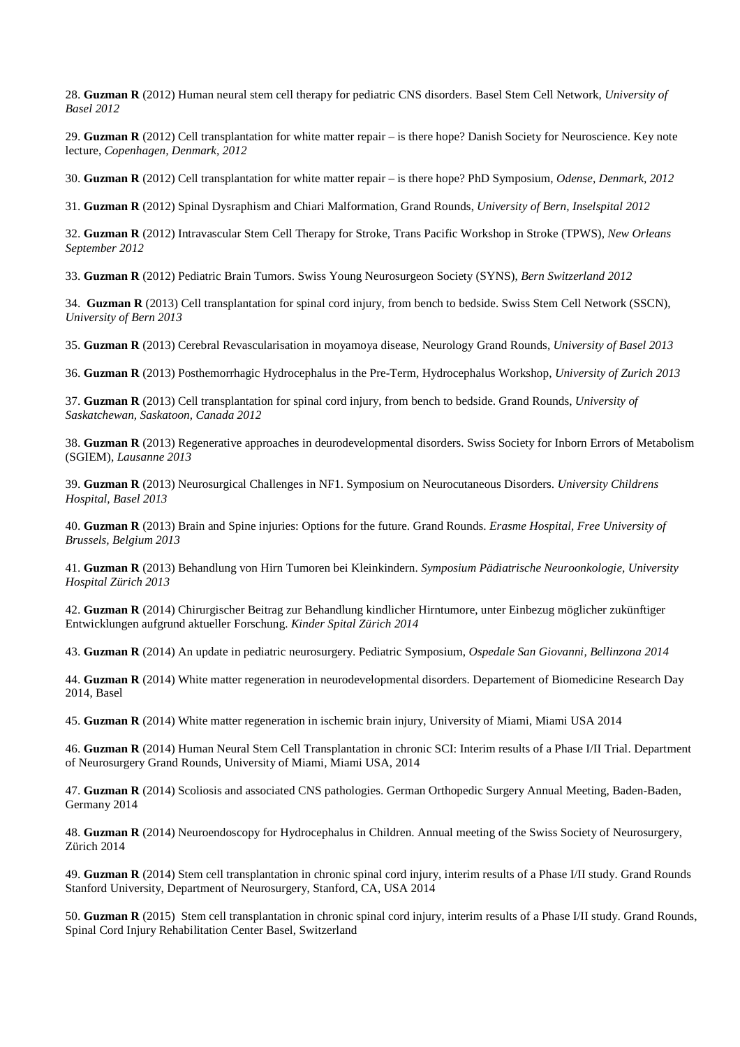28. **Guzman R** (2012) Human neural stem cell therapy for pediatric CNS disorders. Basel Stem Cell Network, *University of Basel 2012*

29. **Guzman R** (2012) Cell transplantation for white matter repair – is there hope? Danish Society for Neuroscience. Key note lecture, *Copenhagen, Denmark, 2012*

30. **Guzman R** (2012) Cell transplantation for white matter repair – is there hope? PhD Symposium, *Odense, Denmark, 2012* 

31. **Guzman R** (2012) Spinal Dysraphism and Chiari Malformation, Grand Rounds, *University of Bern, Inselspital 2012* 

32. **Guzman R** (2012) Intravascular Stem Cell Therapy for Stroke, Trans Pacific Workshop in Stroke (TPWS), *New Orleans September 2012*

33. **Guzman R** (2012) Pediatric Brain Tumors. Swiss Young Neurosurgeon Society (SYNS), *Bern Switzerland 2012* 

34. **Guzman R** (2013) Cell transplantation for spinal cord injury, from bench to bedside. Swiss Stem Cell Network (SSCN), *University of Bern 2013*

35. **Guzman R** (2013) Cerebral Revascularisation in moyamoya disease, Neurology Grand Rounds, *University of Basel 2013* 

36. **Guzman R** (2013) Posthemorrhagic Hydrocephalus in the Pre-Term, Hydrocephalus Workshop, *University of Zurich 2013* 

37. **Guzman R** (2013) Cell transplantation for spinal cord injury, from bench to bedside. Grand Rounds, *University of Saskatchewan, Saskatoon, Canada 2012* 

38. **Guzman R** (2013) Regenerative approaches in deurodevelopmental disorders. Swiss Society for Inborn Errors of Metabolism (SGIEM), *Lausanne 2013*

39. **Guzman R** (2013) Neurosurgical Challenges in NF1. Symposium on Neurocutaneous Disorders. *University Childrens Hospital, Basel 2013* 

40. **Guzman R** (2013) Brain and Spine injuries: Options for the future. Grand Rounds. *Erasme Hospital, Free University of Brussels, Belgium 2013* 

41. **Guzman R** (2013) Behandlung von Hirn Tumoren bei Kleinkindern. *Symposium Pädiatrische Neuroonkologie, University Hospital Zürich 2013* 

42. **Guzman R** (2014) Chirurgischer Beitrag zur Behandlung kindlicher Hirntumore, unter Einbezug möglicher zukünftiger Entwicklungen aufgrund aktueller Forschung. *Kinder Spital Zürich 2014* 

43. **Guzman R** (2014) An update in pediatric neurosurgery. Pediatric Symposium, *Ospedale San Giovanni, Bellinzona 2014* 

44. **Guzman R** (2014) White matter regeneration in neurodevelopmental disorders. Departement of Biomedicine Research Day 2014, Basel

45. **Guzman R** (2014) White matter regeneration in ischemic brain injury, University of Miami, Miami USA 2014

46. **Guzman R** (2014) Human Neural Stem Cell Transplantation in chronic SCI: Interim results of a Phase I/II Trial. Department of Neurosurgery Grand Rounds, University of Miami, Miami USA, 2014

47. **Guzman R** (2014) Scoliosis and associated CNS pathologies. German Orthopedic Surgery Annual Meeting, Baden-Baden, Germany 2014

48. **Guzman R** (2014) Neuroendoscopy for Hydrocephalus in Children. Annual meeting of the Swiss Society of Neurosurgery, Zürich 2014

49. **Guzman R** (2014) Stem cell transplantation in chronic spinal cord injury, interim results of a Phase I/II study. Grand Rounds Stanford University, Department of Neurosurgery, Stanford, CA, USA 2014

50. **Guzman R** (2015) Stem cell transplantation in chronic spinal cord injury, interim results of a Phase I/II study. Grand Rounds, Spinal Cord Injury Rehabilitation Center Basel, Switzerland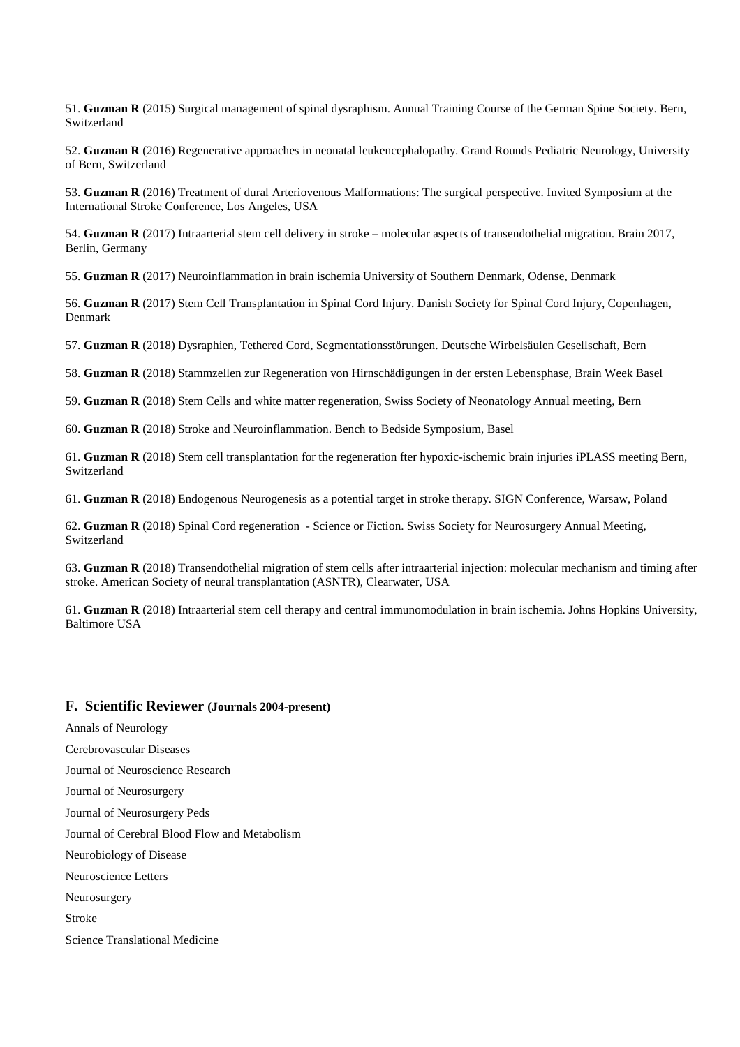51. **Guzman R** (2015) Surgical management of spinal dysraphism. Annual Training Course of the German Spine Society. Bern, Switzerland

52. **Guzman R** (2016) Regenerative approaches in neonatal leukencephalopathy. Grand Rounds Pediatric Neurology, University of Bern, Switzerland

53. **Guzman R** (2016) Treatment of dural Arteriovenous Malformations: The surgical perspective. Invited Symposium at the International Stroke Conference, Los Angeles, USA

54. **Guzman R** (2017) Intraarterial stem cell delivery in stroke – molecular aspects of transendothelial migration. Brain 2017, Berlin, Germany

55. **Guzman R** (2017) Neuroinflammation in brain ischemia University of Southern Denmark, Odense, Denmark

56. **Guzman R** (2017) Stem Cell Transplantation in Spinal Cord Injury. Danish Society for Spinal Cord Injury, Copenhagen, Denmark

57. **Guzman R** (2018) Dysraphien, Tethered Cord, Segmentationsstörungen. Deutsche Wirbelsäulen Gesellschaft, Bern

58. **Guzman R** (2018) Stammzellen zur Regeneration von Hirnschädigungen in der ersten Lebensphase, Brain Week Basel

59. **Guzman R** (2018) Stem Cells and white matter regeneration, Swiss Society of Neonatology Annual meeting, Bern

60. **Guzman R** (2018) Stroke and Neuroinflammation. Bench to Bedside Symposium, Basel

61. **Guzman R** (2018) Stem cell transplantation for the regeneration fter hypoxic-ischemic brain injuries iPLASS meeting Bern, Switzerland

61. **Guzman R** (2018) Endogenous Neurogenesis as a potential target in stroke therapy. SIGN Conference, Warsaw, Poland

62. **Guzman R** (2018) Spinal Cord regeneration - Science or Fiction. Swiss Society for Neurosurgery Annual Meeting, Switzerland

63. **Guzman R** (2018) Transendothelial migration of stem cells after intraarterial injection: molecular mechanism and timing after stroke. American Society of neural transplantation (ASNTR), Clearwater, USA

61. **Guzman R** (2018) Intraarterial stem cell therapy and central immunomodulation in brain ischemia. Johns Hopkins University, Baltimore USA

#### **F. Scientific Reviewer (Journals 2004-present)**

Annals of Neurology Cerebrovascular Diseases Journal of Neuroscience Research Journal of Neurosurgery Journal of Neurosurgery Peds Journal of Cerebral Blood Flow and Metabolism Neurobiology of Disease Neuroscience Letters Neurosurgery Stroke Science Translational Medicine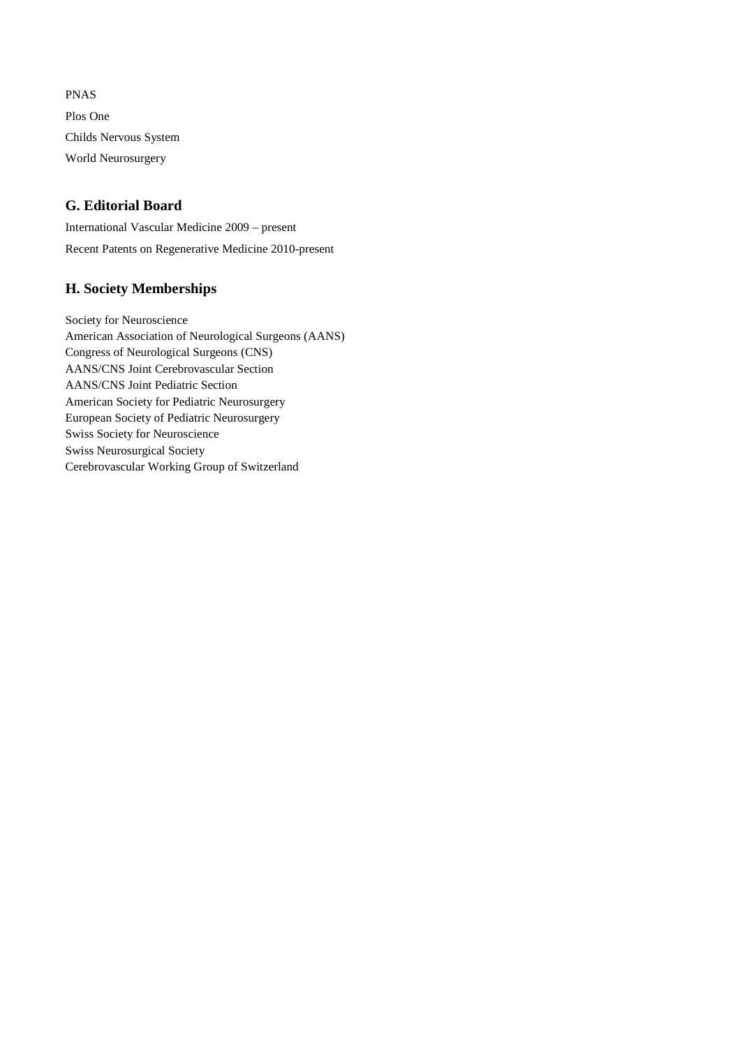PNAS Plos One Childs Nervous System World Neurosurgery

## **G. Editorial Board**

International Vascular Medicine 2009 – present Recent Patents on Regenerative Medicine 2010-present

## **H. Society Memberships**

Society for Neuroscience American Association of Neurological Surgeons (AANS) Congress of Neurological Surgeons (CNS) AANS/CNS Joint Cerebrovascular Section AANS/CNS Joint Pediatric Section American Society for Pediatric Neurosurgery European Society of Pediatric Neurosurgery Swiss Society for Neuroscience Swiss Neurosurgical Society Cerebrovascular Working Group of Switzerland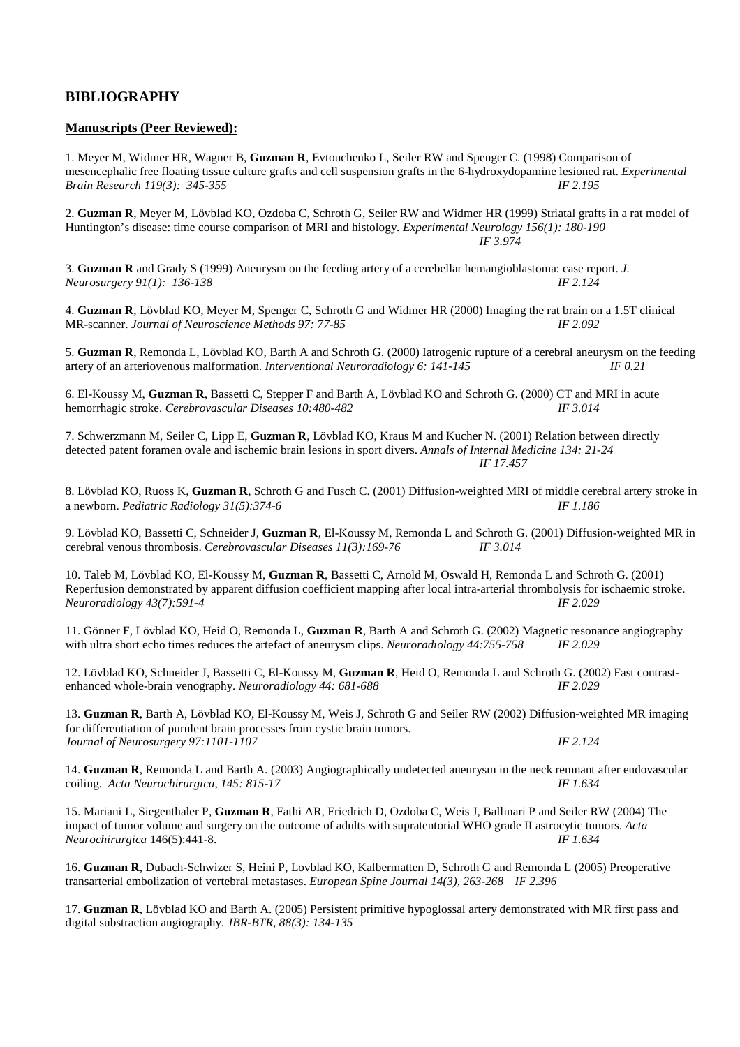## **BIBLIOGRAPHY**

#### **Manuscripts (Peer Reviewed):**

1. Meyer M, Widmer HR, Wagner B, **Guzman R**, Evtouchenko L, Seiler RW and Spenger C. (1998) Comparison of mesencephalic free floating tissue culture grafts and cell suspension grafts in the 6-hydroxydopamine lesioned rat. *Experimental Brain Research 119(3): 345-355 IF 2.195 Brain Research 119(3): 345-355* 

2. **Guzman R**, Meyer M, Lövblad KO, Ozdoba C, Schroth G, Seiler RW and Widmer HR (1999) Striatal grafts in a rat model of Huntington's disease: time course comparison of MRI and histology. *Experimental Neurology 156(1): 180-190 IF 3.974* 

3. **Guzman R** and Grady S (1999) Aneurysm on the feeding artery of a cerebellar hemangioblastoma: case report. *J. Neurosurgery 91(1): 136-138 IF 2.124* 

4. **Guzman R**, Lövblad KO, Meyer M, Spenger C, Schroth G and Widmer HR (2000) Imaging the rat brain on a 1.5T clinical MR-scanner. *Journal of Neuroscience Methods 97: 77-85 IF 2.092* 

5. **Guzman R**, Remonda L, Lövblad KO, Barth A and Schroth G. (2000) Iatrogenic rupture of a cerebral aneurysm on the feeding artery of an arteriovenous malformation. *Interventional Neuroradiology 6: 141-145 IF 0.21* 

6. El-Koussy M, **Guzman R**, Bassetti C, Stepper F and Barth A, Lövblad KO and Schroth G. (2000) CT and MRI in acute hemorrhagic stroke. *Cerebrovascular Diseases 10:480-482 IF 3.014* 

7. Schwerzmann M, Seiler C, Lipp E, **Guzman R**, Lövblad KO, Kraus M and Kucher N. (2001) Relation between directly detected patent foramen ovale and ischemic brain lesions in sport divers. *Annals of Internal Medicine 134: 21-24 IF 17.457* 

8. Lövblad KO, Ruoss K, **Guzman R**, Schroth G and Fusch C. (2001) Diffusion-weighted MRI of middle cerebral artery stroke in a newborn. *Pediatric Radiology 31(5):374-6 IF 1.186* 

9. Lövblad KO, Bassetti C, Schneider J, **Guzman R**, El-Koussy M, Remonda L and Schroth G. (2001) Diffusion-weighted MR in cerebral venous thrombosis. *Cerebrovascular Diseases 11(3):169-76 IF 3.014* 

10. Taleb M, Lövblad KO, El-Koussy M, **Guzman R**, Bassetti C, Arnold M, Oswald H, Remonda L and Schroth G. (2001) Reperfusion demonstrated by apparent diffusion coefficient mapping after local intra-arterial thrombolysis for ischaemic stroke. *Neuroradiology 43(7):591-4 IF 2.029* 

11. Gönner F, Lövblad KO, Heid O, Remonda L, **Guzman R**, Barth A and Schroth G. (2002) Magnetic resonance angiography with ultra short echo times reduces the artefact of aneurysm clips. *Neuroradiology 44:755-758 IF 2.029* 

12. Lövblad KO, Schneider J, Bassetti C, El-Koussy M, **Guzman R**, Heid O, Remonda L and Schroth G. (2002) Fast contrastenhanced whole-brain venography. *Neuroradiology 44: 681-688* 

13. **Guzman R**, Barth A, Lövblad KO, El-Koussy M, Weis J, Schroth G and Seiler RW (2002) Diffusion-weighted MR imaging for differentiation of purulent brain processes from cystic brain tumors. *Journal of Neurosurgery 97:1101-1107 IF 2.124* 

14. **Guzman R**, Remonda L and Barth A. (2003) Angiographically undetected aneurysm in the neck remnant after endovascular coiling. *Acta Neurochirurgica, 145: 815-17 IF 1.634* 

15. Mariani L, Siegenthaler P, **Guzman R**, Fathi AR, Friedrich D, Ozdoba C, Weis J, Ballinari P and Seiler RW (2004) The impact of tumor volume and surgery on the outcome of adults with supratentorial WHO grade II astrocytic tumors. *Acta Neurochirurgica* 146(5):441-8. *IF 1.634* 

16. **Guzman R**, Dubach-Schwizer S, Heini P, Lovblad KO, Kalbermatten D, Schroth G and Remonda L (2005) Preoperative transarterial embolization of vertebral metastases. *European Spine Journal 14(3), 263-268 IF 2.396* 

17. **Guzman R**, Lövblad KO and Barth A. (2005) Persistent primitive hypoglossal artery demonstrated with MR first pass and digital substraction angiography. *JBR-BTR, 88(3): 134-135*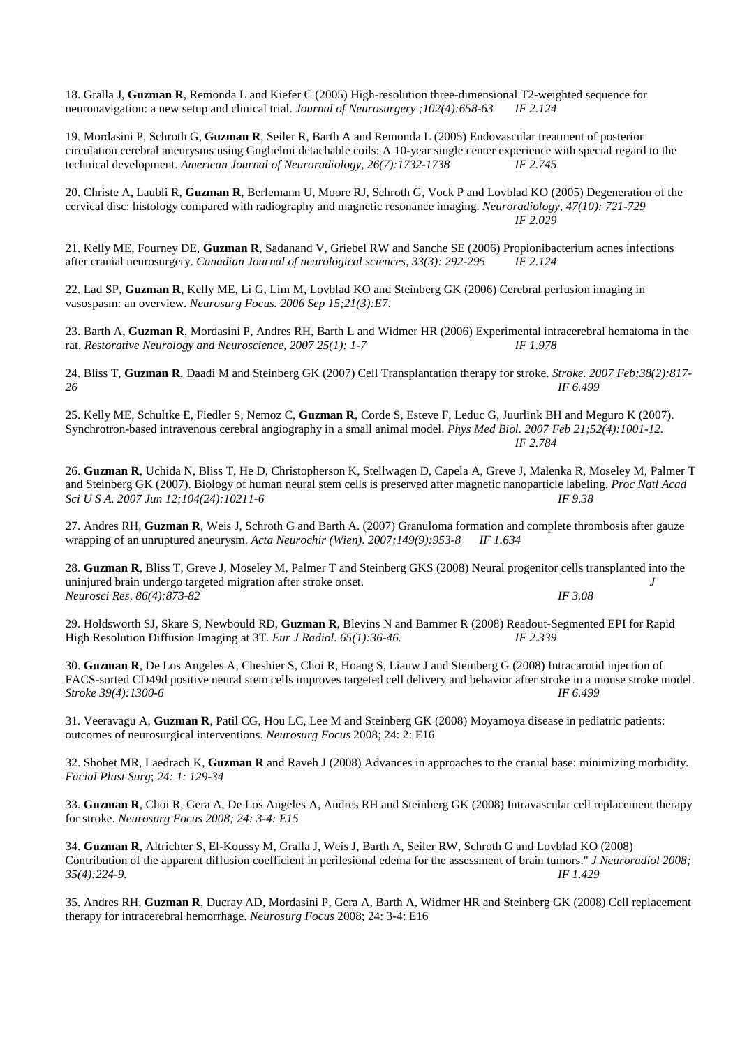18. Gralla J, **Guzman R**, Remonda L and Kiefer C (2005) High-resolution three-dimensional T2-weighted sequence for neuronavigation: a new setup and clinical trial. *Journal of Neurosurgery ;102(4):658-63 IF 2.124* 

19. Mordasini P, Schroth G, **Guzman R**, Seiler R, Barth A and Remonda L (2005) Endovascular treatment of posterior circulation cerebral aneurysms using Guglielmi detachable coils: A 10-year single center experience with special regard to the technical development. *American Journal of Neuroradiology, 26(7):1732-1738* IF 2.745

20. Christe A, Laubli R, **Guzman R**, Berlemann U, Moore RJ, Schroth G, Vock P and Lovblad KO (2005) Degeneration of the cervical disc: histology compared with radiography and magnetic resonance imaging. *Neuroradiology, 47(10): 721-729 IF 2.029* 

21. Kelly ME, Fourney DE, **Guzman R**, Sadanand V, Griebel RW and Sanche SE (2006) Propionibacterium acnes infections after cranial neurosurgery. *Canadian Journal of neurological sciences, 33(3): 292-295 IF 2.124* 

22. Lad SP, **Guzman R**, Kelly ME, Li G, Lim M, Lovblad KO and Steinberg GK (2006) Cerebral perfusion imaging in vasospasm: an overview. *Neurosurg Focus. 2006 Sep 15;21(3):E7*.

23. Barth A, **Guzman R**, Mordasini P, Andres RH, Barth L and Widmer HR (2006) Experimental intracerebral hematoma in the rat. *Restorative Neurology and Neuroscience, 2007 25(1): 1-7 IF 1.978*

24. Bliss T, **Guzman R**, Daadi M and Steinberg GK (2007) Cell Transplantation therapy for stroke. *Stroke. 2007 Feb;38(2):817- 26 IF 6.499*

25. Kelly ME, Schultke E, Fiedler S, Nemoz C, **Guzman R**, Corde S, Esteve F, Leduc G, Juurlink BH and Meguro K (2007). Synchrotron-based intravenous cerebral angiography in a small animal model. *Phys Med Biol. 2007 Feb 21;52(4):1001-12. IF 2.784*

26. **Guzman R**, Uchida N, Bliss T, He D, Christopherson K, Stellwagen D, Capela A, Greve J, Malenka R, Moseley M, Palmer T and Steinberg GK (2007). Biology of human neural stem cells is preserved after magnetic nanoparticle labeling. *Proc Natl Acad Sci U S A. 2007 Jun 12;104(24):10211-6 IF 9.38* 

27. Andres RH, **Guzman R**, Weis J, Schroth G and Barth A. (2007) Granuloma formation and complete thrombosis after gauze wrapping of an unruptured aneurysm. *Acta Neurochir (Wien). 2007;149(9):953-8 IF 1.634*

28. **Guzman R**, Bliss T, Greve J, Moseley M, Palmer T and Steinberg GKS (2008) Neural progenitor cells transplanted into the uninjured brain undergo targeted migration after stroke onset. *J Neurosci Res, 86(4):873-82 IF 3.08* 

29. Holdsworth SJ, Skare S, Newbould RD, **Guzman R**, Blevins N and Bammer R (2008) Readout-Segmented EPI for Rapid<br>High Resolution Diffusion Imaging at 3T. *Eur J Radiol. 65(1):36-46. IF 2.339* High Resolution Diffusion Imaging at 3T. *Eur J Radiol.* 65(1):36-46.

30. **Guzman R**, De Los Angeles A, Cheshier S, Choi R, Hoang S, Liauw J and Steinberg G (2008) Intracarotid injection of FACS-sorted CD49d positive neural stem cells improves targeted cell delivery and behavior after stroke in a mouse stroke model. *Stroke 39(4):1300-6 IF 6.499* 

31. Veeravagu A, **Guzman R**, Patil CG, Hou LC, Lee M and Steinberg GK (2008) Moyamoya disease in pediatric patients: outcomes of neurosurgical interventions. *Neurosurg Focus* 2008; 24: 2: E16

32. Shohet MR, Laedrach K, **Guzman R** and Raveh J (2008) Advances in approaches to the cranial base: minimizing morbidity. *Facial Plast Surg*; *24: 1: 129-34* 

33. **Guzman R**, Choi R, Gera A, De Los Angeles A, Andres RH and Steinberg GK (2008) Intravascular cell replacement therapy for stroke. *Neurosurg Focus 2008; 24: 3-4: E15*

34. **Guzman R**, Altrichter S, El-Koussy M, Gralla J, Weis J, Barth A, Seiler RW, Schroth G and Lovblad KO (2008) Contribution of the apparent diffusion coefficient in perilesional edema for the assessment of brain tumors." *J Neuroradiol 2008; 35(4):224-9. IF 1.429* 

35. Andres RH, **Guzman R**, Ducray AD, Mordasini P, Gera A, Barth A, Widmer HR and Steinberg GK (2008) Cell replacement therapy for intracerebral hemorrhage. *Neurosurg Focus* 2008; 24: 3-4: E16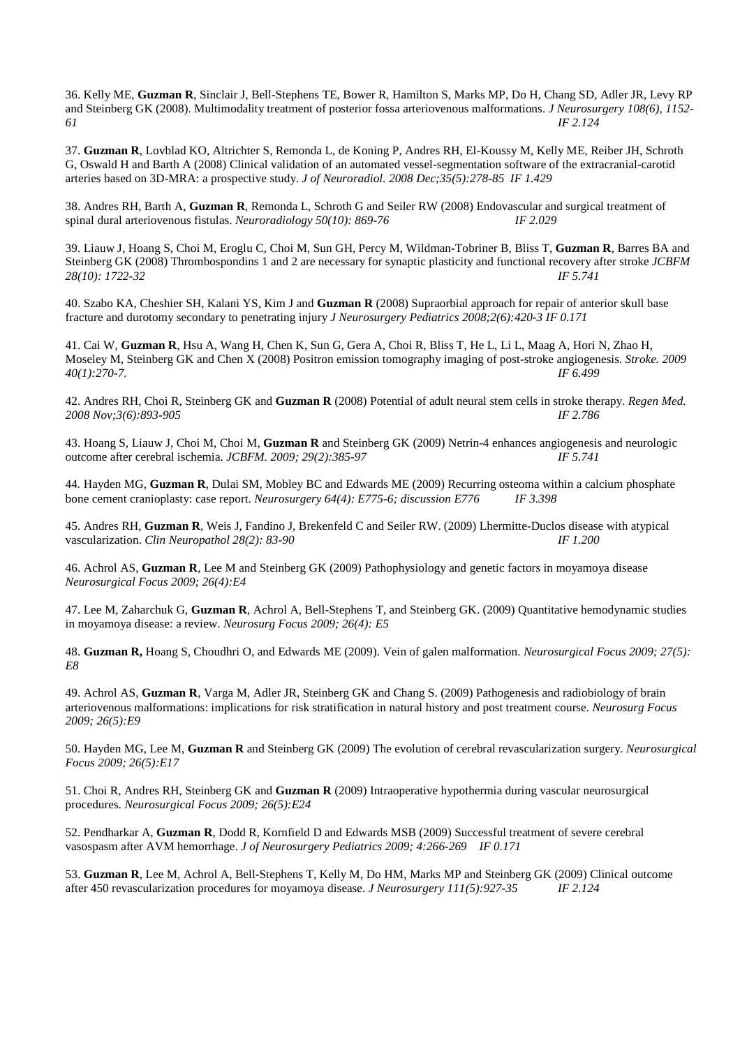36. Kelly ME, **Guzman R**, Sinclair J, Bell-Stephens TE, Bower R, Hamilton S, Marks MP, Do H, Chang SD, Adler JR, Levy RP and Steinberg GK (2008). Multimodality treatment of posterior fossa arteriovenous malformations. *J Neurosurgery 108(6), 1152- 61 IF 2.124* 

37. **Guzman R**, Lovblad KO, Altrichter S, Remonda L, de Koning P, Andres RH, El-Koussy M, Kelly ME, Reiber JH, Schroth G, Oswald H and Barth A (2008) Clinical validation of an automated vessel-segmentation software of the extracranial-carotid arteries based on 3D-MRA: a prospective study. *J of Neuroradiol. 2008 Dec;35(5):278-85 IF 1.429* 

38. Andres RH, Barth A, **Guzman R**, Remonda L, Schroth G and Seiler RW (2008) Endovascular and surgical treatment of spinal dural arteriovenous fistulas. *Neuroradiology 50(10): 869-76 IF 2.029* 

39. Liauw J, Hoang S, Choi M, Eroglu C, Choi M, Sun GH, Percy M, Wildman-Tobriner B, Bliss T, **Guzman R**, Barres BA and Steinberg GK (2008) Thrombospondins 1 and 2 are necessary for synaptic plasticity and functional recovery after stroke *JCBFM 28(10): 1722-32 IF 5.741* 

40. Szabo KA, Cheshier SH, Kalani YS, Kim J and **Guzman R** (2008) Supraorbial approach for repair of anterior skull base fracture and durotomy secondary to penetrating injury *J Neurosurgery Pediatrics 2008;2(6):420-3 IF 0.171* 

41. Cai W, **Guzman R**, Hsu A, Wang H, Chen K, Sun G, Gera A, Choi R, Bliss T, He L, Li L, Maag A, Hori N, Zhao H, Moseley M, Steinberg GK and Chen X (2008) Positron emission tomography imaging of post-stroke angiogenesis. *Stroke. 2009 40(1):270-7. IF 6.499* 

42. Andres RH, Choi R, Steinberg GK and **Guzman R** (2008) Potential of adult neural stem cells in stroke therapy. *Regen Med. 2008 Nov;3(6):893-905 IF 2.786* 

43. Hoang S, Liauw J, Choi M, Choi M, Guzman R and Steinberg GK (2009) Netrin-4 enhances angiogenesis and neurologic outcome after cerebral ischemia. *JCBFM.* 2009; 29(2):385-97<br>IF 5.741 outcome after cerebral ischemia. *JCBFM*. 2009; 29(2):385-97

44*.* Hayden MG, **Guzman R**, Dulai SM, Mobley BC and Edwards ME (2009) Recurring osteoma within a calcium phosphate bone cement cranioplasty: case report. *Neurosurgery 64(4): E775-6; discussion E776 IF 3.398* 

45. Andres RH, **Guzman R**, Weis J, Fandino J, Brekenfeld C and Seiler RW. (2009) Lhermitte-Duclos disease with atypical vascularization. *Clin Neuropathol 28(2): 83-90 IF 1.200* 

46. Achrol AS, **Guzman R**, Lee M and Steinberg GK (2009) Pathophysiology and genetic factors in moyamoya disease *Neurosurgical Focus 2009; 26(4):E4* 

47. Lee M, Zaharchuk G, **Guzman R**, Achrol A, Bell-Stephens T, and Steinberg GK. (2009) Quantitative hemodynamic studies in moyamoya disease: a review. *Neurosurg Focus 2009; 26(4): E5* 

48. **Guzman R,** Hoang S, Choudhri O, and Edwards ME (2009). Vein of galen malformation. *Neurosurgical Focus 2009; 27(5): E8*

49. Achrol AS, **Guzman R**, Varga M, Adler JR, Steinberg GK and Chang S. (2009) Pathogenesis and radiobiology of brain arteriovenous malformations: implications for risk stratification in natural history and post treatment course. *Neurosurg Focus 2009; 26(5):E9* 

50. Hayden MG, Lee M, **Guzman R** and Steinberg GK (2009) The evolution of cerebral revascularization surgery. *Neurosurgical Focus 2009; 26(5):E17* 

51. Choi R, Andres RH, Steinberg GK and **Guzman R** (2009) Intraoperative hypothermia during vascular neurosurgical procedures. *Neurosurgical Focus 2009; 26(5):E24* 

52. Pendharkar A, **Guzman R**, Dodd R, Kornfield D and Edwards MSB (2009) Successful treatment of severe cerebral vasospasm after AVM hemorrhage. *J of Neurosurgery Pediatrics 2009; 4:266-269 IF 0.171* 

53. **Guzman R**, Lee M, Achrol A, Bell-Stephens T, Kelly M, Do HM, Marks MP and Steinberg GK (2009) Clinical outcome after 450 revascularization procedures for moyamoya disease. *J Neurosurgery 111(5):927-35 IF 2.124*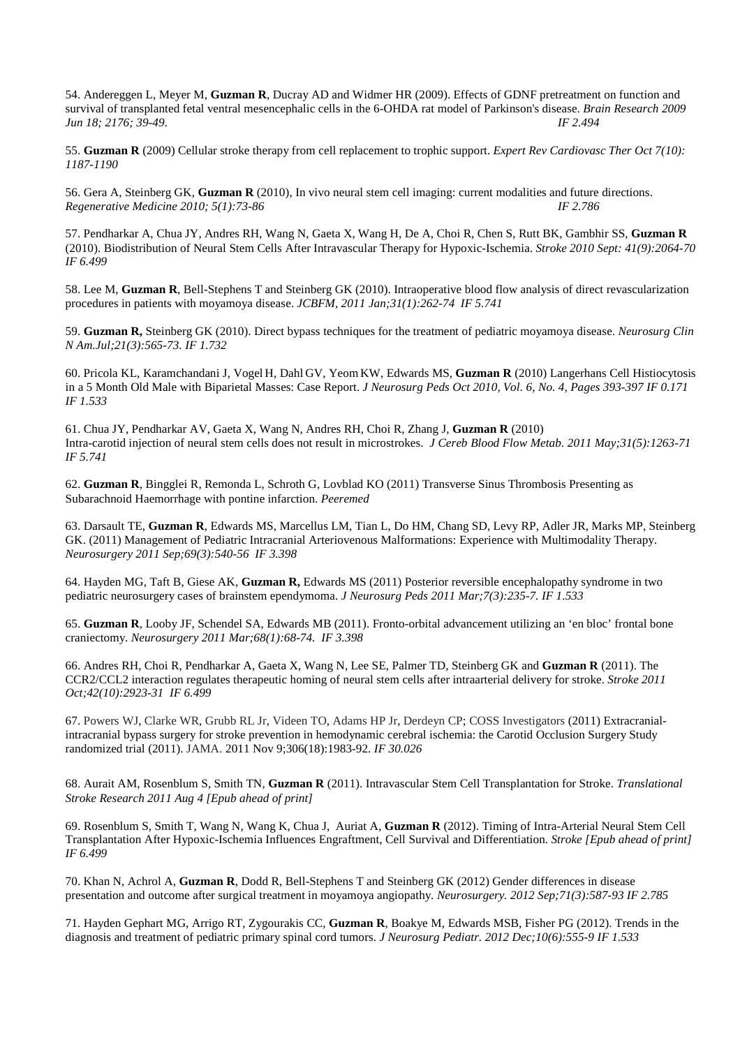54. Andereggen L, Meyer M, **Guzman R**, Ducray AD and Widmer HR (2009). Effects of GDNF pretreatment on function and survival of transplanted fetal ventral mesencephalic cells in the 6-OHDA rat model of Parkinson's disease. *Brain Research 2009 Jun 18; 2176; 39-49. IF 2.494* 

55. **Guzman R** (2009) Cellular stroke therapy from cell replacement to trophic support. *Expert Rev Cardiovasc Ther Oct 7(10): 1187-1190* 

56. Gera A, Steinberg GK, **Guzman R** (2010), In vivo neural stem cell imaging: current modalities and future directions. *Regenerative Medicine 2010; 5(1):73-86 IF 2.786* 

57. Pendharkar A, Chua JY, Andres RH, Wang N, Gaeta X, Wang H, De A, Choi R, Chen S, Rutt BK, Gambhir SS, **Guzman R** (2010). Biodistribution of Neural Stem Cells After Intravascular Therapy for Hypoxic-Ischemia. *Stroke 2010 Sept: 41(9):2064-70 IF 6.499* 

58. Lee M, **Guzman R**, Bell-Stephens T and Steinberg GK (2010). Intraoperative blood flow analysis of direct revascularization procedures in patients with moyamoya disease. *JCBFM, 2011 Jan;31(1):262-74 IF 5.741* 

59. **Guzman R,** Steinberg GK (2010). Direct bypass techniques for the treatment of pediatric moyamoya disease. *Neurosurg Clin N Am.Jul;21(3):565-73. IF 1.732* 

60. Pricola KL, Karamchandani J, Vogel H, Dahl GV, YeomKW, Edwards MS, **Guzman R** (2010) Langerhans Cell Histiocytosis in a 5 Month Old Male with Biparietal Masses: Case Report. *J Neurosurg Peds Oct 2010, Vol. 6, No. 4, Pages 393-397 IF 0.171 IF 1.533* 

61. Chua JY, Pendharkar AV, Gaeta X, Wang N, Andres RH, Choi R, Zhang J, **Guzman R** (2010) Intra-carotid injection of neural stem cells does not result in microstrokes. *J Cereb Blood Flow Metab. 2011 May;31(5):1263-71 IF 5.741* 

62. **Guzman R**, Bingglei R, Remonda L, Schroth G, Lovblad KO (2011) Transverse Sinus Thrombosis Presenting as Subarachnoid Haemorrhage with pontine infarction. *Peeremed* 

63. Darsault TE, **Guzman R**, Edwards MS, Marcellus LM, Tian L, Do HM, Chang SD, Levy RP, Adler JR, Marks MP, Steinberg GK. (2011) Management of Pediatric Intracranial Arteriovenous Malformations: Experience with Multimodality Therapy. *Neurosurgery 2011 Sep;69(3):540-56 IF 3.398* 

64. Hayden MG, Taft B, Giese AK, **Guzman R,** Edwards MS (2011) Posterior reversible encephalopathy syndrome in two pediatric neurosurgery cases of brainstem ependymoma. *J Neurosurg Peds 2011 Mar;7(3):235-7. IF 1.533* 

65. **Guzman R**, Looby JF, Schendel SA, Edwards MB (2011). Fronto-orbital advancement utilizing an 'en bloc' frontal bone craniectomy. *Neurosurgery 2011 Mar;68(1):68-74. IF 3.398* 

66. Andres RH, Choi R, Pendharkar A, Gaeta X, Wang N, Lee SE, Palmer TD, Steinberg GK and **Guzman R** (2011). The CCR2/CCL2 interaction regulates therapeutic homing of neural stem cells after intraarterial delivery for stroke. *Stroke 2011 Oct;42(10):2923-31 IF 6.499* 

67. Powers WJ, Clarke WR, Grubb RL Jr, Videen TO, Adams HP Jr, Derdeyn CP; COSS Investigators (2011) Extracranialintracranial bypass surgery for stroke prevention in hemodynamic cerebral ischemia: the Carotid Occlusion Surgery Study randomized trial (2011). JAMA. 2011 Nov 9;306(18):1983-92. *IF 30.026*

68. Aurait AM, Rosenblum S, Smith TN, **Guzman R** (2011). Intravascular Stem Cell Transplantation for Stroke. *Translational Stroke Research 2011 Aug 4 [Epub ahead of print]* 

69. Rosenblum S, Smith T, Wang N, Wang K, Chua J, Auriat A, **Guzman R** (2012). Timing of Intra-Arterial Neural Stem Cell Transplantation After Hypoxic-Ischemia Influences Engraftment, Cell Survival and Differentiation. *Stroke [Epub ahead of print] IF 6.499*

70. Khan N, Achrol A, **Guzman R**, Dodd R, Bell-Stephens T and Steinberg GK (2012) Gender differences in disease presentation and outcome after surgical treatment in moyamoya angiopathy. *Neurosurgery. 2012 Sep;71(3):587-93 IF 2.785* 

71. Hayden Gephart MG, Arrigo RT, Zygourakis CC, **Guzman R**, Boakye M, Edwards MSB, Fisher PG (2012). Trends in the diagnosis and treatment of pediatric primary spinal cord tumors. *J Neurosurg Pediatr. 2012 Dec;10(6):555-9 IF 1.533*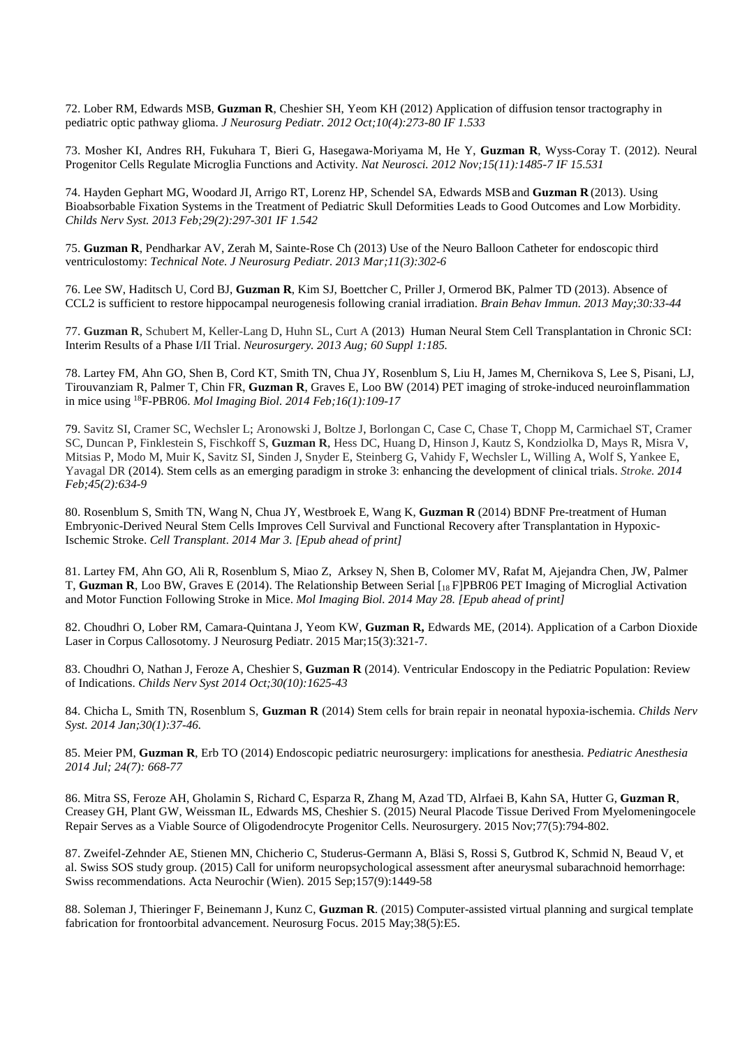72. Lober RM, Edwards MSB, **Guzman R**, Cheshier SH, Yeom KH (2012) Application of diffusion tensor tractography in pediatric optic pathway glioma. *J Neurosurg Pediatr. 2012 Oct;10(4):273-80 IF 1.533*

73. Mosher KI, Andres RH, Fukuhara T, Bieri G, Hasegawa-Moriyama M, He Y, **Guzman R**, Wyss-Coray T. (2012). Neural Progenitor Cells Regulate Microglia Functions and Activity. *Nat Neurosci. 2012 Nov;15(11):1485-7 IF 15.531*

74. Hayden Gephart MG, Woodard JI, Arrigo RT, Lorenz HP, Schendel SA, Edwards MSBand **Guzman R** (2013). Using Bioabsorbable Fixation Systems in the Treatment of Pediatric Skull Deformities Leads to Good Outcomes and Low Morbidity. *Childs Nerv Syst. 2013 Feb;29(2):297-301 IF 1.542* 

75. **Guzman R**, Pendharkar AV, Zerah M, Sainte-Rose Ch (2013) Use of the Neuro Balloon Catheter for endoscopic third ventriculostomy: *Technical Note. J Neurosurg Pediatr. 2013 Mar;11(3):302-6*

76. Lee SW, Haditsch U, Cord BJ, **Guzman R**, Kim SJ, Boettcher C, Priller J, Ormerod BK, Palmer TD (2013). Absence of CCL2 is sufficient to restore hippocampal neurogenesis following cranial irradiation. *Brain Behav Immun. 2013 May;30:33-44* 

77. **Guzman R**, Schubert M, Keller-Lang D, Huhn SL, Curt A (2013) Human Neural Stem Cell Transplantation in Chronic SCI: Interim Results of a Phase I/II Trial. *Neurosurgery. 2013 Aug; 60 Suppl 1:185.*

78. Lartey FM, Ahn GO, Shen B, Cord KT, Smith TN, Chua JY, Rosenblum S, Liu H, James M, Chernikova S, Lee S, Pisani, LJ, Tirouvanziam R, Palmer T, Chin FR, **Guzman R**, Graves E, Loo BW (2014) PET imaging of stroke-induced neuroinflammation in mice using <sup>18</sup>F-PBR06. *Mol Imaging Biol. 2014 Feb;16(1):109-17* 

79. Savitz SI, Cramer SC, Wechsler L; Aronowski J, Boltze J, Borlongan C, Case C, Chase T, Chopp M, Carmichael ST, Cramer SC, Duncan P, Finklestein S, Fischkoff S, **Guzman R**, Hess DC, Huang D, Hinson J, Kautz S, Kondziolka D, Mays R, Misra V, Mitsias P, Modo M, Muir K, Savitz SI, Sinden J, Snyder E, Steinberg G, Vahidy F, Wechsler L, Willing A, Wolf S, Yankee E, Yavagal DR (2014). Stem cells as an emerging paradigm in stroke 3: enhancing the development of clinical trials. *Stroke. 2014 Feb;45(2):634-9*

80. Rosenblum S, Smith TN, Wang N, Chua JY, Westbroek E, Wang K, **Guzman R** (2014) BDNF Pre-treatment of Human Embryonic-Derived Neural Stem Cells Improves Cell Survival and Functional Recovery after Transplantation in Hypoxic-Ischemic Stroke. *Cell Transplant. 2014 Mar 3. [Epub ahead of print]* 

81. Lartey FM, Ahn GO, Ali R, Rosenblum S, Miao Z, Arksey N, Shen B, Colomer MV, Rafat M, Ajejandra Chen, JW, Palmer T, **Guzman R**, Loo BW, Graves E (2014). The Relationship Between Serial [<sup>18</sup> F]PBR06 PET Imaging of Microglial Activation and Motor Function Following Stroke in Mice. *Mol Imaging Biol. 2014 May 28. [Epub ahead of print]* 

82. Choudhri O, Lober RM, Camara-Quintana J, Yeom KW, **Guzman R,** Edwards ME, (2014). Application of a Carbon Dioxide Laser in Corpus Callosotomy. J Neurosurg Pediatr. 2015 Mar;15(3):321-7.

83. Choudhri O, Nathan J, Feroze A, Cheshier S, **Guzman R** (2014). Ventricular Endoscopy in the Pediatric Population: Review of Indications. *Childs Nerv Syst 2014 Oct;30(10):1625-43* 

84. Chicha L, Smith TN, Rosenblum S, **Guzman R** (2014) Stem cells for brain repair in neonatal hypoxia-ischemia. *Childs Nerv Syst. 2014 Jan;30(1):37-46.* 

85. Meier PM, **Guzman R**, Erb TO (2014) Endoscopic pediatric neurosurgery: implications for anesthesia. *Pediatric Anesthesia 2014 Jul; 24(7): 668-77* 

86. Mitra SS, Feroze AH, Gholamin S, Richard C, Esparza R, Zhang M, Azad TD, Alrfaei B, Kahn SA, Hutter G, **Guzman R**, Creasey GH, Plant GW, Weissman IL, Edwards MS, Cheshier S. (2015) Neural Placode Tissue Derived From Myelomeningocele Repair Serves as a Viable Source of Oligodendrocyte Progenitor Cells. Neurosurgery. 2015 Nov;77(5):794-802.

87. Zweifel-Zehnder AE, Stienen MN, Chicherio C, Studerus-Germann A, Bläsi S, Rossi S, Gutbrod K, Schmid N, Beaud V, et al. Swiss SOS study group. (2015) Call for uniform neuropsychological assessment after aneurysmal subarachnoid hemorrhage: Swiss recommendations. Acta Neurochir (Wien). 2015 Sep;157(9):1449-58

88. Soleman J, Thieringer F, Beinemann J, Kunz C, **Guzman R**. (2015) Computer-assisted virtual planning and surgical template fabrication for frontoorbital advancement. Neurosurg Focus. 2015 May;38(5):E5.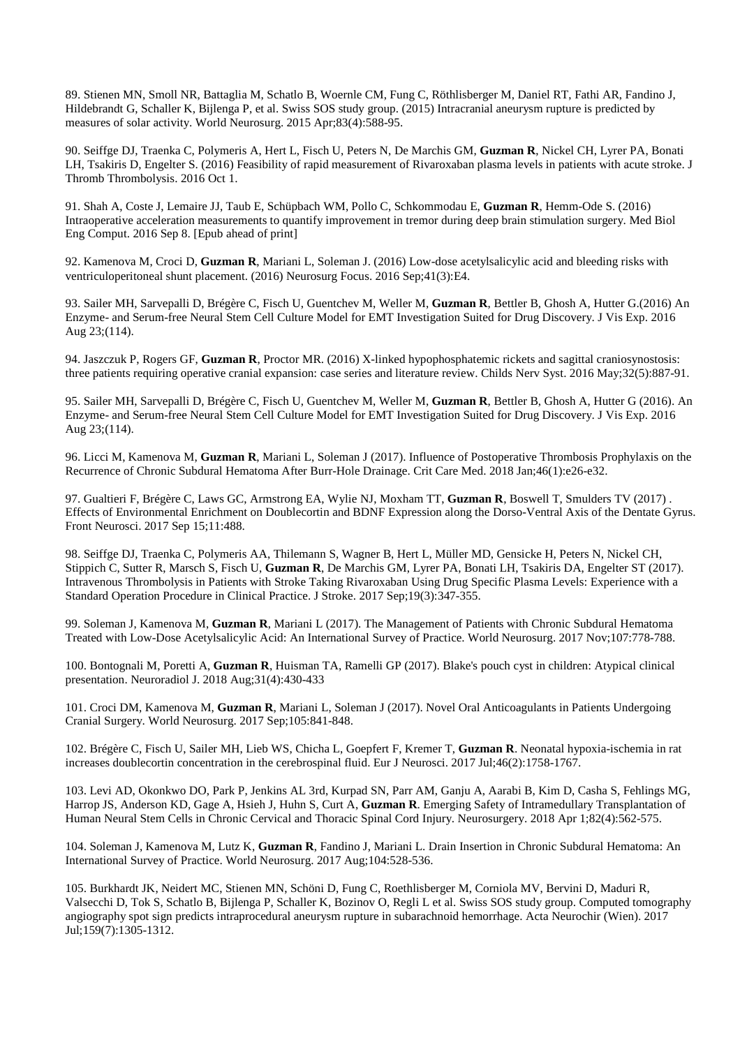89. Stienen MN, Smoll NR, Battaglia M, Schatlo B, Woernle CM, Fung C, Röthlisberger M, Daniel RT, Fathi AR, Fandino J, Hildebrandt G, Schaller K, Bijlenga P, et al. Swiss SOS study group. (2015) Intracranial aneurysm rupture is predicted by measures of solar activity. World Neurosurg. 2015 Apr;83(4):588-95.

90. Seiffge DJ, Traenka C, Polymeris A, Hert L, Fisch U, Peters N, De Marchis GM, **Guzman R**, Nickel CH, Lyrer PA, Bonati LH, Tsakiris D, Engelter S. (2016) Feasibility of rapid measurement of Rivaroxaban plasma levels in patients with acute stroke. J Thromb Thrombolysis. 2016 Oct 1.

91. Shah A, Coste J, Lemaire JJ, Taub E, Schüpbach WM, Pollo C, Schkommodau E, **Guzman R**, Hemm-Ode S. (2016) Intraoperative acceleration measurements to quantify improvement in tremor during deep brain stimulation surgery. Med Biol Eng Comput. 2016 Sep 8. [Epub ahead of print]

92. Kamenova M, Croci D, **Guzman R**, Mariani L, Soleman J. (2016) Low-dose acetylsalicylic acid and bleeding risks with ventriculoperitoneal shunt placement. (2016) Neurosurg Focus. 2016 Sep;41(3):E4.

93. Sailer MH, Sarvepalli D, Brégère C, Fisch U, Guentchev M, Weller M, **Guzman R**, Bettler B, Ghosh A, Hutter G.(2016) An Enzyme- and Serum-free Neural Stem Cell Culture Model for EMT Investigation Suited for Drug Discovery. J Vis Exp. 2016 Aug 23;(114).

94. Jaszczuk P, Rogers GF, **Guzman R**, Proctor MR. (2016) X-linked hypophosphatemic rickets and sagittal craniosynostosis: three patients requiring operative cranial expansion: case series and literature review. Childs Nerv Syst. 2016 May;32(5):887-91.

95. Sailer MH, Sarvepalli D, Brégère C, Fisch U, Guentchev M, Weller M, **Guzman R**, Bettler B, Ghosh A, Hutter G (2016). An Enzyme- and Serum-free Neural Stem Cell Culture Model for EMT Investigation Suited for Drug Discovery. J Vis Exp. 2016 Aug 23;(114).

96. Licci M, Kamenova M, **Guzman R**, Mariani L, Soleman J (2017). Influence of Postoperative Thrombosis Prophylaxis on the Recurrence of Chronic Subdural Hematoma After Burr-Hole Drainage. Crit Care Med. 2018 Jan;46(1):e26-e32.

97. Gualtieri F, Brégère C, Laws GC, Armstrong EA, Wylie NJ, Moxham TT, **Guzman R**, Boswell T, Smulders TV (2017) . Effects of Environmental Enrichment on Doublecortin and BDNF Expression along the Dorso-Ventral Axis of the Dentate Gyrus. Front Neurosci. 2017 Sep 15;11:488.

98. Seiffge DJ, Traenka C, Polymeris AA, Thilemann S, Wagner B, Hert L, Müller MD, Gensicke H, Peters N, Nickel CH, Stippich C, Sutter R, Marsch S, Fisch U, **Guzman R**, De Marchis GM, Lyrer PA, Bonati LH, Tsakiris DA, Engelter ST (2017). Intravenous Thrombolysis in Patients with Stroke Taking Rivaroxaban Using Drug Specific Plasma Levels: Experience with a Standard Operation Procedure in Clinical Practice. J Stroke. 2017 Sep;19(3):347-355.

99. Soleman J, Kamenova M, **Guzman R**, Mariani L (2017). The Management of Patients with Chronic Subdural Hematoma Treated with Low-Dose Acetylsalicylic Acid: An International Survey of Practice. World Neurosurg. 2017 Nov;107:778-788.

100. Bontognali M, Poretti A, **Guzman R**, Huisman TA, Ramelli GP (2017). Blake's pouch cyst in children: Atypical clinical presentation. Neuroradiol J. 2018 Aug;31(4):430-433

101. Croci DM, Kamenova M, **Guzman R**, Mariani L, Soleman J (2017). Novel Oral Anticoagulants in Patients Undergoing Cranial Surgery. World Neurosurg. 2017 Sep;105:841-848.

102. Brégère C, Fisch U, Sailer MH, Lieb WS, Chicha L, Goepfert F, Kremer T, **Guzman R**. Neonatal hypoxia-ischemia in rat increases doublecortin concentration in the cerebrospinal fluid. Eur J Neurosci. 2017 Jul;46(2):1758-1767.

103. Levi AD, Okonkwo DO, Park P, Jenkins AL 3rd, Kurpad SN, Parr AM, Ganju A, Aarabi B, Kim D, Casha S, Fehlings MG, Harrop JS, Anderson KD, Gage A, Hsieh J, Huhn S, Curt A, **Guzman R**. Emerging Safety of Intramedullary Transplantation of Human Neural Stem Cells in Chronic Cervical and Thoracic Spinal Cord Injury. Neurosurgery. 2018 Apr 1;82(4):562-575.

104. Soleman J, Kamenova M, Lutz K, **Guzman R**, Fandino J, Mariani L. Drain Insertion in Chronic Subdural Hematoma: An International Survey of Practice. World Neurosurg. 2017 Aug;104:528-536.

105. Burkhardt JK, Neidert MC, Stienen MN, Schöni D, Fung C, Roethlisberger M, Corniola MV, Bervini D, Maduri R, Valsecchi D, Tok S, Schatlo B, Bijlenga P, Schaller K, Bozinov O, Regli L et al. Swiss SOS study group. Computed tomography angiography spot sign predicts intraprocedural aneurysm rupture in subarachnoid hemorrhage. Acta Neurochir (Wien). 2017 Jul;159(7):1305-1312.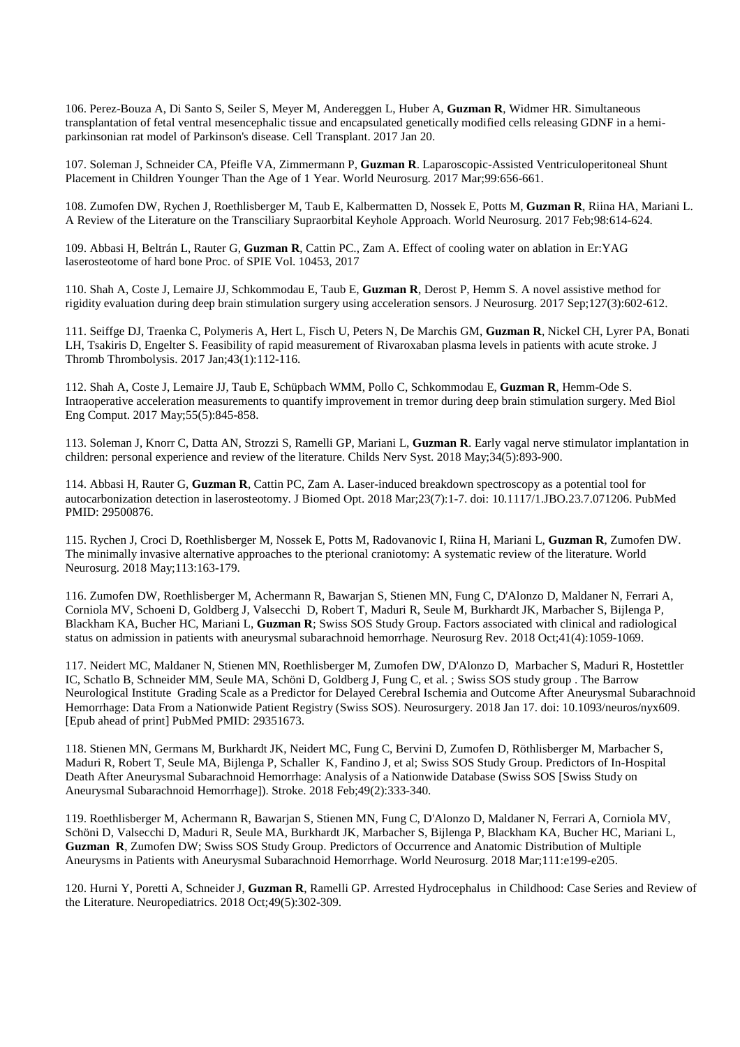106. Perez-Bouza A, Di Santo S, Seiler S, Meyer M, Andereggen L, Huber A, **Guzman R**, Widmer HR. Simultaneous transplantation of fetal ventral mesencephalic tissue and encapsulated genetically modified cells releasing GDNF in a hemiparkinsonian rat model of Parkinson's disease. Cell Transplant. 2017 Jan 20.

107. Soleman J, Schneider CA, Pfeifle VA, Zimmermann P, **Guzman R**. Laparoscopic-Assisted Ventriculoperitoneal Shunt Placement in Children Younger Than the Age of 1 Year. World Neurosurg. 2017 Mar;99:656-661.

108. Zumofen DW, Rychen J, Roethlisberger M, Taub E, Kalbermatten D, Nossek E, Potts M, **Guzman R**, Riina HA, Mariani L. A Review of the Literature on the Transciliary Supraorbital Keyhole Approach. World Neurosurg. 2017 Feb;98:614-624.

109. Abbasi H, Beltrán L, Rauter G, **Guzman R**, Cattin PC., Zam A. Effect of cooling water on ablation in Er:YAG laserosteotome of hard bone Proc. of SPIE Vol. 10453, 2017

110. Shah A, Coste J, Lemaire JJ, Schkommodau E, Taub E, **Guzman R**, Derost P, Hemm S. A novel assistive method for rigidity evaluation during deep brain stimulation surgery using acceleration sensors. J Neurosurg. 2017 Sep;127(3):602-612.

111. Seiffge DJ, Traenka C, Polymeris A, Hert L, Fisch U, Peters N, De Marchis GM, **Guzman R**, Nickel CH, Lyrer PA, Bonati LH, Tsakiris D, Engelter S. Feasibility of rapid measurement of Rivaroxaban plasma levels in patients with acute stroke. J Thromb Thrombolysis. 2017 Jan;43(1):112-116.

112. Shah A, Coste J, Lemaire JJ, Taub E, Schüpbach WMM, Pollo C, Schkommodau E, **Guzman R**, Hemm-Ode S. Intraoperative acceleration measurements to quantify improvement in tremor during deep brain stimulation surgery. Med Biol Eng Comput. 2017 May;55(5):845-858.

113. Soleman J, Knorr C, Datta AN, Strozzi S, Ramelli GP, Mariani L, **Guzman R**. Early vagal nerve stimulator implantation in children: personal experience and review of the literature. Childs Nerv Syst. 2018 May;34(5):893-900.

114. Abbasi H, Rauter G, **Guzman R**, Cattin PC, Zam A. Laser-induced breakdown spectroscopy as a potential tool for autocarbonization detection in laserosteotomy. J Biomed Opt. 2018 Mar;23(7):1-7. doi: 10.1117/1.JBO.23.7.071206. PubMed PMID: 29500876.

115. Rychen J, Croci D, Roethlisberger M, Nossek E, Potts M, Radovanovic I, Riina H, Mariani L, **Guzman R**, Zumofen DW. The minimally invasive alternative approaches to the pterional craniotomy: A systematic review of the literature. World Neurosurg. 2018 May;113:163-179.

116. Zumofen DW, Roethlisberger M, Achermann R, Bawarjan S, Stienen MN, Fung C, D'Alonzo D, Maldaner N, Ferrari A, Corniola MV, Schoeni D, Goldberg J, Valsecchi D, Robert T, Maduri R, Seule M, Burkhardt JK, Marbacher S, Bijlenga P, Blackham KA, Bucher HC, Mariani L, **Guzman R**; Swiss SOS Study Group. Factors associated with clinical and radiological status on admission in patients with aneurysmal subarachnoid hemorrhage. Neurosurg Rev. 2018 Oct;41(4):1059-1069.

117. Neidert MC, Maldaner N, Stienen MN, Roethlisberger M, Zumofen DW, D'Alonzo D, Marbacher S, Maduri R, Hostettler IC, Schatlo B, Schneider MM, Seule MA, Schöni D, Goldberg J, Fung C, et al. ; Swiss SOS study group . The Barrow Neurological Institute Grading Scale as a Predictor for Delayed Cerebral Ischemia and Outcome After Aneurysmal Subarachnoid Hemorrhage: Data From a Nationwide Patient Registry (Swiss SOS). Neurosurgery. 2018 Jan 17. doi: 10.1093/neuros/nyx609. [Epub ahead of print] PubMed PMID: 29351673.

118. Stienen MN, Germans M, Burkhardt JK, Neidert MC, Fung C, Bervini D, Zumofen D, Röthlisberger M, Marbacher S, Maduri R, Robert T, Seule MA, Bijlenga P, Schaller K, Fandino J, et al; Swiss SOS Study Group. Predictors of In-Hospital Death After Aneurysmal Subarachnoid Hemorrhage: Analysis of a Nationwide Database (Swiss SOS [Swiss Study on Aneurysmal Subarachnoid Hemorrhage]). Stroke. 2018 Feb;49(2):333-340.

119. Roethlisberger M, Achermann R, Bawarjan S, Stienen MN, Fung C, D'Alonzo D, Maldaner N, Ferrari A, Corniola MV, Schöni D, Valsecchi D, Maduri R, Seule MA, Burkhardt JK, Marbacher S, Bijlenga P, Blackham KA, Bucher HC, Mariani L, **Guzman R**, Zumofen DW; Swiss SOS Study Group. Predictors of Occurrence and Anatomic Distribution of Multiple Aneurysms in Patients with Aneurysmal Subarachnoid Hemorrhage. World Neurosurg. 2018 Mar;111:e199-e205.

120. Hurni Y, Poretti A, Schneider J, **Guzman R**, Ramelli GP. Arrested Hydrocephalus in Childhood: Case Series and Review of the Literature. Neuropediatrics. 2018 Oct;49(5):302-309.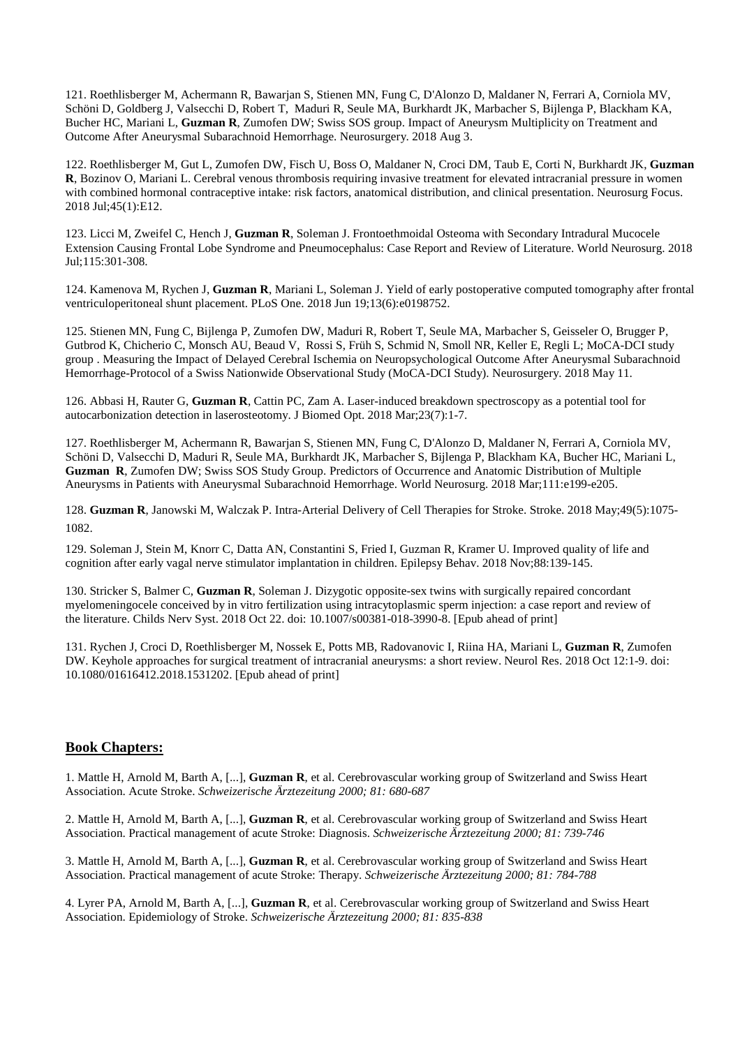121. Roethlisberger M, Achermann R, Bawarjan S, Stienen MN, Fung C, D'Alonzo D, Maldaner N, Ferrari A, Corniola MV, Schöni D, Goldberg J, Valsecchi D, Robert T, Maduri R, Seule MA, Burkhardt JK, Marbacher S, Bijlenga P, Blackham KA, Bucher HC, Mariani L, **Guzman R**, Zumofen DW; Swiss SOS group. Impact of Aneurysm Multiplicity on Treatment and Outcome After Aneurysmal Subarachnoid Hemorrhage. Neurosurgery. 2018 Aug 3.

122. Roethlisberger M, Gut L, Zumofen DW, Fisch U, Boss O, Maldaner N, Croci DM, Taub E, Corti N, Burkhardt JK, **Guzman R**, Bozinov O, Mariani L. Cerebral venous thrombosis requiring invasive treatment for elevated intracranial pressure in women with combined hormonal contraceptive intake: risk factors, anatomical distribution, and clinical presentation. Neurosurg Focus. 2018 Jul;45(1):E12.

123. Licci M, Zweifel C, Hench J, **Guzman R**, Soleman J. Frontoethmoidal Osteoma with Secondary Intradural Mucocele Extension Causing Frontal Lobe Syndrome and Pneumocephalus: Case Report and Review of Literature. World Neurosurg. 2018 Jul;115:301-308.

124. Kamenova M, Rychen J, **Guzman R**, Mariani L, Soleman J. Yield of early postoperative computed tomography after frontal ventriculoperitoneal shunt placement. PLoS One. 2018 Jun 19;13(6):e0198752.

125. Stienen MN, Fung C, Bijlenga P, Zumofen DW, Maduri R, Robert T, Seule MA, Marbacher S, Geisseler O, Brugger P, Gutbrod K, Chicherio C, Monsch AU, Beaud V, Rossi S, Früh S, Schmid N, Smoll NR, Keller E, Regli L; MoCA-DCI study group . Measuring the Impact of Delayed Cerebral Ischemia on Neuropsychological Outcome After Aneurysmal Subarachnoid Hemorrhage-Protocol of a Swiss Nationwide Observational Study (MoCA-DCI Study). Neurosurgery. 2018 May 11.

126. Abbasi H, Rauter G, **Guzman R**, Cattin PC, Zam A. Laser-induced breakdown spectroscopy as a potential tool for autocarbonization detection in laserosteotomy. J Biomed Opt. 2018 Mar;23(7):1-7.

127. Roethlisberger M, Achermann R, Bawarjan S, Stienen MN, Fung C, D'Alonzo D, Maldaner N, Ferrari A, Corniola MV, Schöni D, Valsecchi D, Maduri R, Seule MA, Burkhardt JK, Marbacher S, Bijlenga P, Blackham KA, Bucher HC, Mariani L, **Guzman R**, Zumofen DW; Swiss SOS Study Group. Predictors of Occurrence and Anatomic Distribution of Multiple Aneurysms in Patients with Aneurysmal Subarachnoid Hemorrhage. World Neurosurg. 2018 Mar;111:e199-e205.

128. **Guzman R**, Janowski M, Walczak P. Intra-Arterial Delivery of Cell Therapies for Stroke. Stroke. 2018 May;49(5):1075- 1082.

129. Soleman J, Stein M, Knorr C, Datta AN, Constantini S, Fried I, Guzman R, Kramer U. Improved quality of life and cognition after early vagal nerve stimulator implantation in children. Epilepsy Behav. 2018 Nov;88:139-145.

130. Stricker S, Balmer C, **Guzman R**, Soleman J. Dizygotic opposite-sex twins with surgically repaired concordant myelomeningocele conceived by in vitro fertilization using intracytoplasmic sperm injection: a case report and review of the literature. Childs Nerv Syst. 2018 Oct 22. doi: 10.1007/s00381-018-3990-8. [Epub ahead of print]

131. Rychen J, Croci D, Roethlisberger M, Nossek E, Potts MB, Radovanovic I, Riina HA, Mariani L, **Guzman R**, Zumofen DW. Keyhole approaches for surgical treatment of intracranial aneurysms: a short review. Neurol Res. 2018 Oct 12:1-9. doi: 10.1080/01616412.2018.1531202. [Epub ahead of print]

## **Book Chapters:**

1. Mattle H, Arnold M, Barth A, [...], **Guzman R**, et al. Cerebrovascular working group of Switzerland and Swiss Heart Association. Acute Stroke. *Schweizerische Ärztezeitung 2000; 81: 680-687* 

2. Mattle H, Arnold M, Barth A, [...], **Guzman R**, et al. Cerebrovascular working group of Switzerland and Swiss Heart Association. Practical management of acute Stroke: Diagnosis. *Schweizerische Ärztezeitung 2000; 81: 739-746* 

3. Mattle H, Arnold M, Barth A, [...], **Guzman R**, et al. Cerebrovascular working group of Switzerland and Swiss Heart Association. Practical management of acute Stroke: Therapy. *Schweizerische Ärztezeitung 2000; 81: 784-788* 

4. Lyrer PA, Arnold M, Barth A, [...], **Guzman R**, et al. Cerebrovascular working group of Switzerland and Swiss Heart Association. Epidemiology of Stroke. *Schweizerische Ärztezeitung 2000; 81: 835-838*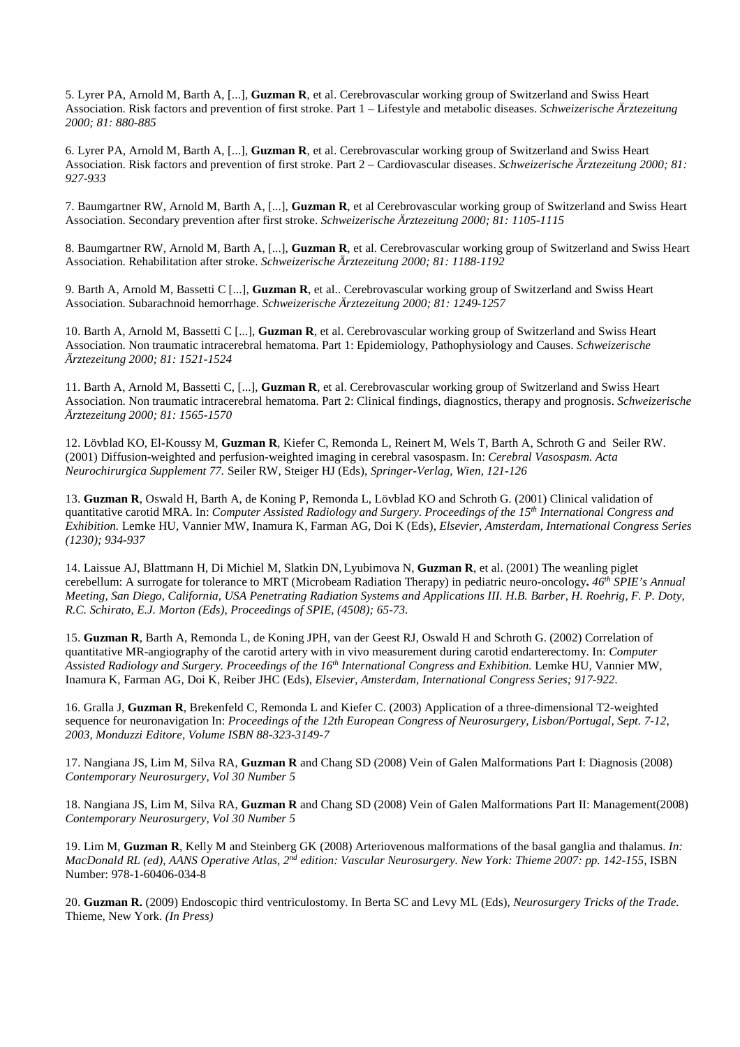5. Lyrer PA, Arnold M, Barth A, [...], **Guzman R**, et al. Cerebrovascular working group of Switzerland and Swiss Heart Association. Risk factors and prevention of first stroke. Part 1 – Lifestyle and metabolic diseases. *Schweizerische Ärztezeitung 2000; 81: 880-885* 

6. Lyrer PA, Arnold M, Barth A, [...], **Guzman R**, et al. Cerebrovascular working group of Switzerland and Swiss Heart Association. Risk factors and prevention of first stroke. Part 2 – Cardiovascular diseases. *Schweizerische Ärztezeitung 2000; 81: 927-933* 

7. Baumgartner RW, Arnold M, Barth A, [...], **Guzman R**, et al Cerebrovascular working group of Switzerland and Swiss Heart Association. Secondary prevention after first stroke. *Schweizerische Ärztezeitung 2000; 81: 1105-1115* 

8. Baumgartner RW, Arnold M, Barth A, [...], **Guzman R**, et al. Cerebrovascular working group of Switzerland and Swiss Heart Association. Rehabilitation after stroke. *Schweizerische Ärztezeitung 2000; 81: 1188-1192* 

9. Barth A, Arnold M, Bassetti C [...], **Guzman R**, et al.. Cerebrovascular working group of Switzerland and Swiss Heart Association. Subarachnoid hemorrhage. *Schweizerische Ärztezeitung 2000; 81: 1249-1257*

10. Barth A, Arnold M, Bassetti C [...], **Guzman R**, et al. Cerebrovascular working group of Switzerland and Swiss Heart Association. Non traumatic intracerebral hematoma. Part 1: Epidemiology, Pathophysiology and Causes. *Schweizerische Ärztezeitung 2000; 81: 1521-1524* 

11. Barth A, Arnold M, Bassetti C, [...], **Guzman R**, et al. Cerebrovascular working group of Switzerland and Swiss Heart Association. Non traumatic intracerebral hematoma. Part 2: Clinical findings, diagnostics, therapy and prognosis. *Schweizerische Ärztezeitung 2000; 81: 1565-1570* 

12. Lövblad KO, El-Koussy M, **Guzman R**, Kiefer C, Remonda L, Reinert M, Wels T, Barth A, Schroth G and Seiler RW. (2001) Diffusion-weighted and perfusion-weighted imaging in cerebral vasospasm. In: *Cerebral Vasospasm. Acta Neurochirurgica Supplement 77.* Seiler RW, Steiger HJ (Eds), *Springer-Verlag, Wien, 121-126* 

13. **Guzman R**, Oswald H, Barth A, de Koning P, Remonda L, Lövblad KO and Schroth G. (2001) Clinical validation of quantitative carotid MRA. In: *Computer Assisted Radiology and Surgery. Proceedings of the 15th International Congress and Exhibition.* Lemke HU, Vannier MW, Inamura K, Farman AG, Doi K (Eds), *Elsevier, Amsterdam, International Congress Series (1230); 934-937* 

14. Laissue AJ, Blattmann H, Di Michiel M, Slatkin DN, Lyubimova N, **Guzman R**, et al. (2001) The weanling piglet cerebellum: A surrogate for tolerance to MRT (Microbeam Radiation Therapy) in pediatric neuro-oncology**.** *46th SPIE's Annual Meeting, San Diego, California, USA Penetrating Radiation Systems and Applications III. H.B. Barber, H. Roehrig, F. P. Doty, R.C. Schirato, E.J. Morton (Eds), Proceedings of SPIE, (4508); 65-73.* 

15. **Guzman R**, Barth A, Remonda L, de Koning JPH, van der Geest RJ, Oswald H and Schroth G. (2002) Correlation of quantitative MR-angiography of the carotid artery with in vivo measurement during carotid endarterectomy. In: *Computer Assisted Radiology and Surgery. Proceedings of the 16th International Congress and Exhibition.* Lemke HU, Vannier MW, Inamura K, Farman AG, Doi K, Reiber JHC (Eds), *Elsevier, Amsterdam, International Congress Series; 917-922.* 

16. Gralla J, **Guzman R**, Brekenfeld C, Remonda L and Kiefer C. (2003) Application of a three-dimensional T2-weighted sequence for neuronavigation In: *Proceedings of the 12th European Congress of Neurosurgery, Lisbon/Portugal, Sept. 7-12, 2003, Monduzzi Editore, Volume ISBN 88-323-3149-7* 

17. Nangiana JS, Lim M, Silva RA, **Guzman R** and Chang SD (2008) Vein of Galen Malformations Part I: Diagnosis (2008) *Contemporary Neurosurgery, Vol 30 Number 5* 

18. Nangiana JS, Lim M, Silva RA, **Guzman R** and Chang SD (2008) Vein of Galen Malformations Part II: Management(2008) *Contemporary Neurosurgery, Vol 30 Number 5* 

19. Lim M, **Guzman R**, Kelly M and Steinberg GK (2008) Arteriovenous malformations of the basal ganglia and thalamus. *In: MacDonald RL (ed), AANS Operative Atlas, 2nd edition: Vascular Neurosurgery. New York: Thieme 2007: pp. 142-155,* ISBN Number: 978-1-60406-034-8

20. **Guzman R.** (2009) Endoscopic third ventriculostomy. In Berta SC and Levy ML (Eds), *Neurosurgery Tricks of the Trade.*  Thieme, New York. *(In Press)*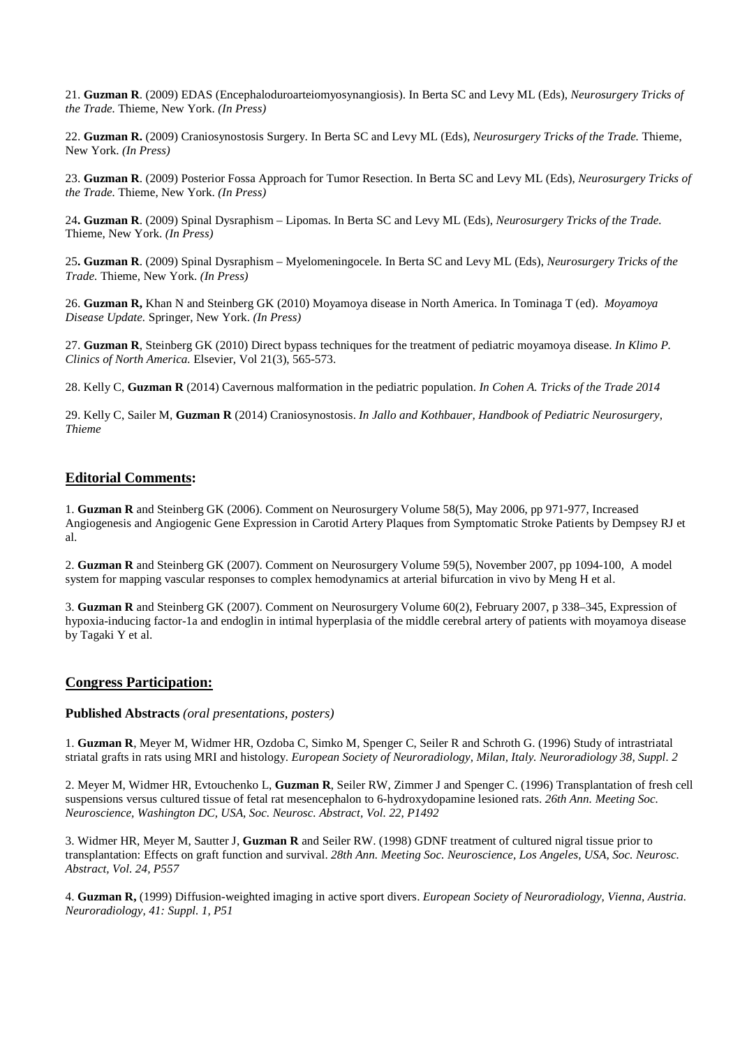21. **Guzman R**. (2009) EDAS (Encephaloduroarteiomyosynangiosis). In Berta SC and Levy ML (Eds), *Neurosurgery Tricks of the Trade.* Thieme, New York. *(In Press)*

22. **Guzman R.** (2009) Craniosynostosis Surgery. In Berta SC and Levy ML (Eds), *Neurosurgery Tricks of the Trade.* Thieme, New York. *(In Press)*

23. **Guzman R**. (2009) Posterior Fossa Approach for Tumor Resection. In Berta SC and Levy ML (Eds), *Neurosurgery Tricks of the Trade.* Thieme, New York. *(In Press)*

24**. Guzman R**. (2009) Spinal Dysraphism – Lipomas. In Berta SC and Levy ML (Eds), *Neurosurgery Tricks of the Trade.*  Thieme, New York. *(In Press)*

25**. Guzman R**. (2009) Spinal Dysraphism – Myelomeningocele. In Berta SC and Levy ML (Eds), *Neurosurgery Tricks of the Trade.* Thieme, New York. *(In Press)* 

26. **Guzman R,** Khan N and Steinberg GK (2010) Moyamoya disease in North America. In Tominaga T (ed). *Moyamoya Disease Update.* Springer, New York. *(In Press)*

27. **Guzman R**, Steinberg GK (2010) Direct bypass techniques for the treatment of pediatric moyamoya disease. *In Klimo P. Clinics of North America.* Elsevier, Vol 21(3), 565-573.

28. Kelly C, **Guzman R** (2014) Cavernous malformation in the pediatric population. *In Cohen A. Tricks of the Trade 2014* 

29. Kelly C, Sailer M, **Guzman R** (2014) Craniosynostosis. *In Jallo and Kothbauer, Handbook of Pediatric Neurosurgery, Thieme* 

## **Editorial Comments:**

1. **Guzman R** and Steinberg GK (2006). Comment on Neurosurgery Volume 58(5), May 2006, pp 971-977, Increased Angiogenesis and Angiogenic Gene Expression in Carotid Artery Plaques from Symptomatic Stroke Patients by Dempsey RJ et al.

2. **Guzman R** and Steinberg GK (2007). Comment on Neurosurgery Volume 59(5), November 2007, pp 1094-100, A model system for mapping vascular responses to complex hemodynamics at arterial bifurcation in vivo by Meng H et al.

3. **Guzman R** and Steinberg GK (2007). Comment on Neurosurgery Volume 60(2), February 2007, p 338–345, Expression of hypoxia-inducing factor-1a and endoglin in intimal hyperplasia of the middle cerebral artery of patients with moyamoya disease by Tagaki Y et al.

## **Congress Participation:**

#### **Published Abstracts** *(oral presentations, posters)*

1. **Guzman R**, Meyer M, Widmer HR, Ozdoba C, Simko M, Spenger C, Seiler R and Schroth G. (1996) Study of intrastriatal striatal grafts in rats using MRI and histology. *European Society of Neuroradiology, Milan, Italy. Neuroradiology 38, Suppl. 2* 

2. Meyer M, Widmer HR, Evtouchenko L, **Guzman R**, Seiler RW, Zimmer J and Spenger C. (1996) Transplantation of fresh cell suspensions versus cultured tissue of fetal rat mesencephalon to 6-hydroxydopamine lesioned rats. *26th Ann. Meeting Soc. Neuroscience, Washington DC, USA, Soc. Neurosc. Abstract, Vol. 22, P1492*

3. Widmer HR, Meyer M, Sautter J, **Guzman R** and Seiler RW. (1998) GDNF treatment of cultured nigral tissue prior to transplantation: Effects on graft function and survival. *28th Ann. Meeting Soc. Neuroscience, Los Angeles, USA, Soc. Neurosc. Abstract, Vol. 24, P557*

4. **Guzman R,** (1999) Diffusion-weighted imaging in active sport divers. *European Society of Neuroradiology, Vienna, Austria. Neuroradiology, 41: Suppl. 1, P51*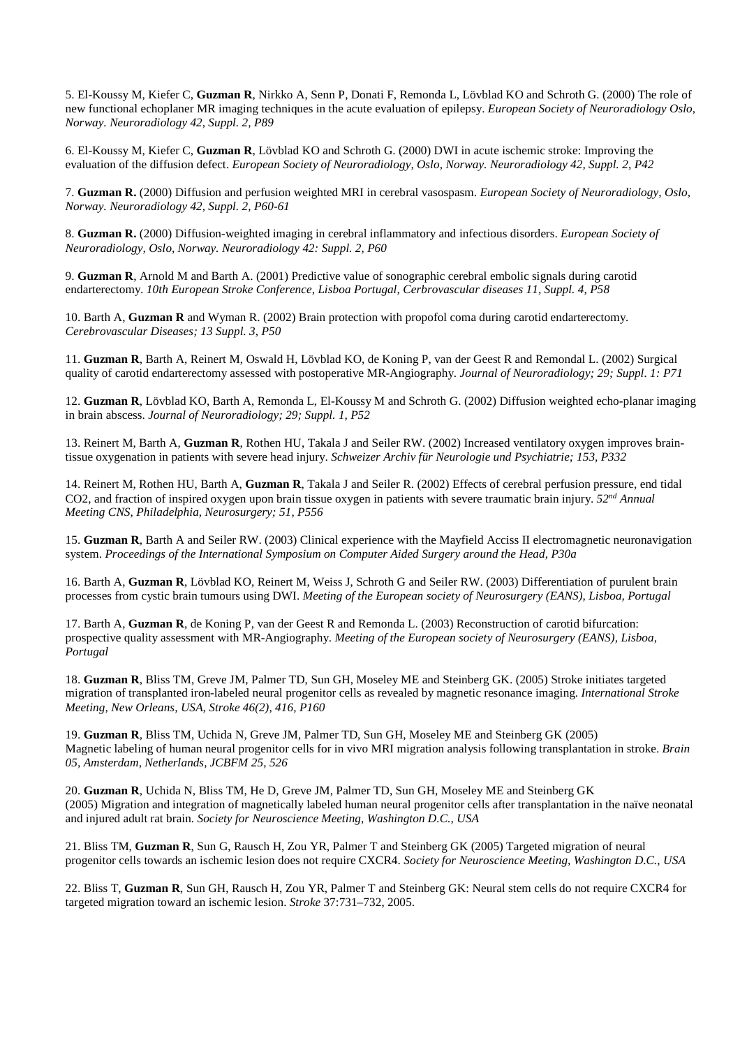5. El-Koussy M, Kiefer C, **Guzman R**, Nirkko A, Senn P, Donati F, Remonda L, Lövblad KO and Schroth G. (2000) The role of new functional echoplaner MR imaging techniques in the acute evaluation of epilepsy. *European Society of Neuroradiology Oslo, Norway. Neuroradiology 42, Suppl. 2, P89*

6. El-Koussy M, Kiefer C, **Guzman R**, Lövblad KO and Schroth G. (2000) DWI in acute ischemic stroke: Improving the evaluation of the diffusion defect. *European Society of Neuroradiology, Oslo, Norway. Neuroradiology 42, Suppl. 2, P42* 

7. **Guzman R.** (2000) Diffusion and perfusion weighted MRI in cerebral vasospasm. *European Society of Neuroradiology, Oslo, Norway. Neuroradiology 42, Suppl. 2, P60-61* 

8. **Guzman R.** (2000) Diffusion-weighted imaging in cerebral inflammatory and infectious disorders. *European Society of Neuroradiology, Oslo, Norway. Neuroradiology 42: Suppl. 2, P60*

9. **Guzman R**, Arnold M and Barth A. (2001) Predictive value of sonographic cerebral embolic signals during carotid endarterectomy. *10th European Stroke Conference, Lisboa Portugal, Cerbrovascular diseases 11, Suppl. 4, P58* 

10. Barth A, **Guzman R** and Wyman R. (2002) Brain protection with propofol coma during carotid endarterectomy. *Cerebrovascular Diseases; 13 Suppl. 3, P50* 

11. **Guzman R**, Barth A, Reinert M, Oswald H, Lövblad KO, de Koning P, van der Geest R and Remondal L. (2002) Surgical quality of carotid endarterectomy assessed with postoperative MR-Angiography. *Journal of Neuroradiology; 29; Suppl. 1: P71* 

12. **Guzman R**, Lövblad KO, Barth A, Remonda L, El-Koussy M and Schroth G. (2002) Diffusion weighted echo-planar imaging in brain abscess. *Journal of Neuroradiology; 29; Suppl. 1, P52*

13. Reinert M, Barth A, **Guzman R**, Rothen HU, Takala J and Seiler RW. (2002) Increased ventilatory oxygen improves braintissue oxygenation in patients with severe head injury. *Schweizer Archiv für Neurologie und Psychiatrie; 153, P332* 

14. Reinert M, Rothen HU, Barth A, **Guzman R**, Takala J and Seiler R. (2002) Effects of cerebral perfusion pressure, end tidal CO2, and fraction of inspired oxygen upon brain tissue oxygen in patients with severe traumatic brain injury. *52nd Annual Meeting CNS, Philadelphia, Neurosurgery; 51, P556* 

15. **Guzman R**, Barth A and Seiler RW. (2003) Clinical experience with the Mayfield Acciss II electromagnetic neuronavigation system. *Proceedings of the International Symposium on Computer Aided Surgery around the Head, P30a* 

16. Barth A, **Guzman R**, Lövblad KO, Reinert M, Weiss J, Schroth G and Seiler RW. (2003) Differentiation of purulent brain processes from cystic brain tumours using DWI. *Meeting of the European society of Neurosurgery (EANS), Lisboa, Portugal* 

17. Barth A, **Guzman R**, de Koning P, van der Geest R and Remonda L. (2003) Reconstruction of carotid bifurcation: prospective quality assessment with MR-Angiography. *Meeting of the European society of Neurosurgery (EANS), Lisboa, Portugal* 

18. **Guzman R**, Bliss TM, Greve JM, Palmer TD, Sun GH, Moseley ME and Steinberg GK. (2005) Stroke initiates targeted migration of transplanted iron-labeled neural progenitor cells as revealed by magnetic resonance imaging. *International Stroke Meeting, New Orleans, USA, Stroke 46(2), 416, P160* 

19. **Guzman R**, Bliss TM, Uchida N, Greve JM, Palmer TD, Sun GH, Moseley ME and Steinberg GK (2005) Magnetic labeling of human neural progenitor cells for in vivo MRI migration analysis following transplantation in stroke. *Brain 05, Amsterdam, Netherlands, JCBFM 25, 526* 

20. **Guzman R**, Uchida N, Bliss TM, He D, Greve JM, Palmer TD, Sun GH, Moseley ME and Steinberg GK (2005) Migration and integration of magnetically labeled human neural progenitor cells after transplantation in the naïve neonatal and injured adult rat brain. *Society for Neuroscience Meeting, Washington D.C., USA* 

21. Bliss TM, **Guzman R**, Sun G, Rausch H, Zou YR, Palmer T and Steinberg GK (2005) Targeted migration of neural progenitor cells towards an ischemic lesion does not require CXCR4. *Society for Neuroscience Meeting, Washington D.C., USA*

22. Bliss T, **Guzman R**, Sun GH, Rausch H, Zou YR, Palmer T and Steinberg GK: Neural stem cells do not require CXCR4 for targeted migration toward an ischemic lesion. *Stroke* 37:731–732, 2005.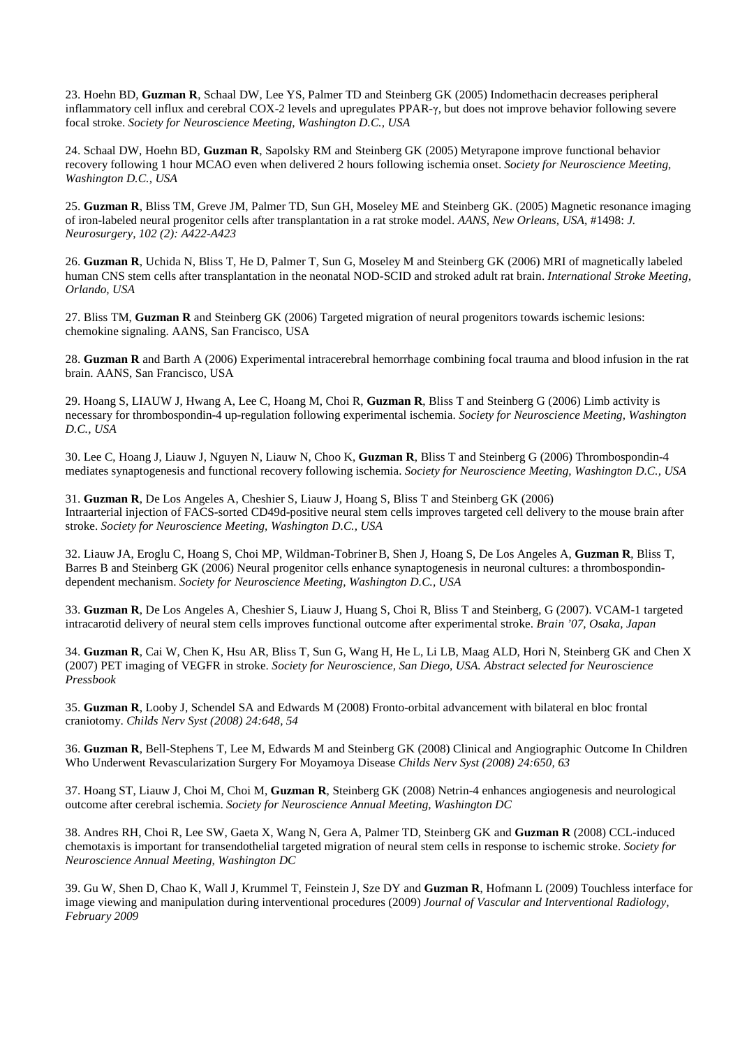23. Hoehn BD, **Guzman R**, Schaal DW, Lee YS, Palmer TD and Steinberg GK (2005) Indomethacin decreases peripheral inflammatory cell influx and cerebral COX-2 levels and upregulates PPAR-γ, but does not improve behavior following severe focal stroke. *Society for Neuroscience Meeting, Washington D.C., USA* 

24. Schaal DW, Hoehn BD, **Guzman R**, Sapolsky RM and Steinberg GK (2005) Metyrapone improve functional behavior recovery following 1 hour MCAO even when delivered 2 hours following ischemia onset. *Society for Neuroscience Meeting, Washington D.C., USA* 

25. **Guzman R**, Bliss TM, Greve JM, Palmer TD, Sun GH, Moseley ME and Steinberg GK. (2005) Magnetic resonance imaging of iron-labeled neural progenitor cells after transplantation in a rat stroke model. *AANS, New Orleans, USA,* #1498: *J. Neurosurgery, 102 (2): A422-A423* 

26. **Guzman R**, Uchida N, Bliss T, He D, Palmer T, Sun G, Moseley M and Steinberg GK (2006) MRI of magnetically labeled human CNS stem cells after transplantation in the neonatal NOD-SCID and stroked adult rat brain. *International Stroke Meeting, Orlando, USA* 

27. Bliss TM, **Guzman R** and Steinberg GK (2006) Targeted migration of neural progenitors towards ischemic lesions: chemokine signaling. AANS, San Francisco, USA

28. **Guzman R** and Barth A (2006) Experimental intracerebral hemorrhage combining focal trauma and blood infusion in the rat brain. AANS, San Francisco, USA

29. Hoang S, LIAUW J, Hwang A, Lee C, Hoang M, Choi R, **Guzman R**, Bliss T and Steinberg G (2006) Limb activity is necessary for thrombospondin-4 up-regulation following experimental ischemia. *Society for Neuroscience Meeting, Washington D.C., USA* 

30. Lee C, Hoang J, Liauw J, Nguyen N, Liauw N, Choo K, **Guzman R**, Bliss T and Steinberg G (2006) Thrombospondin-4 mediates synaptogenesis and functional recovery following ischemia. *Society for Neuroscience Meeting, Washington D.C., USA*

31. **Guzman R**, De Los Angeles A, Cheshier S, Liauw J, Hoang S, Bliss T and Steinberg GK (2006) Intraarterial injection of FACS-sorted CD49d-positive neural stem cells improves targeted cell delivery to the mouse brain after stroke. *Society for Neuroscience Meeting, Washington D.C., USA*

32. Liauw JA, Eroglu C, Hoang S, Choi MP, Wildman-TobrinerB, Shen J, Hoang S, De Los Angeles A, **Guzman R**, Bliss T, Barres B and Steinberg GK (2006) Neural progenitor cells enhance synaptogenesis in neuronal cultures: a thrombospondindependent mechanism. *Society for Neuroscience Meeting, Washington D.C., USA*

33. **Guzman R**, De Los Angeles A, Cheshier S, Liauw J, Huang S, Choi R, Bliss T and Steinberg, G (2007). VCAM-1 targeted intracarotid delivery of neural stem cells improves functional outcome after experimental stroke. *Brain '07, Osaka, Japan* 

34. **Guzman R**, Cai W, Chen K, Hsu AR, Bliss T, Sun G, Wang H, He L, Li LB, Maag ALD, Hori N, Steinberg GK and Chen X (2007) PET imaging of VEGFR in stroke. *Society for Neuroscience, San Diego, USA. Abstract selected for Neuroscience Pressbook* 

35. **Guzman R**, Looby J, Schendel SA and Edwards M (2008) Fronto-orbital advancement with bilateral en bloc frontal craniotomy. *Childs Nerv Syst (2008) 24:648, 54* 

36. **Guzman R**, Bell-Stephens T, Lee M, Edwards M and Steinberg GK (2008) Clinical and Angiographic Outcome In Children Who Underwent Revascularization Surgery For Moyamoya Disease *Childs Nerv Syst (2008) 24:650, 63* 

37. Hoang ST, Liauw J, Choi M, Choi M, **Guzman R**, Steinberg GK (2008) Netrin-4 enhances angiogenesis and neurological outcome after cerebral ischemia. *Society for Neuroscience Annual Meeting, Washington DC* 

38. Andres RH, Choi R, Lee SW, Gaeta X, Wang N, Gera A, Palmer TD, Steinberg GK and **Guzman R** (2008) CCL-induced chemotaxis is important for transendothelial targeted migration of neural stem cells in response to ischemic stroke. *Society for Neuroscience Annual Meeting, Washington DC* 

39. Gu W, Shen D, Chao K, Wall J, Krummel T, Feinstein J, Sze DY and **Guzman R**, Hofmann L (2009) Touchless interface for image viewing and manipulation during interventional procedures (2009) *Journal of Vascular and Interventional Radiology, February 2009*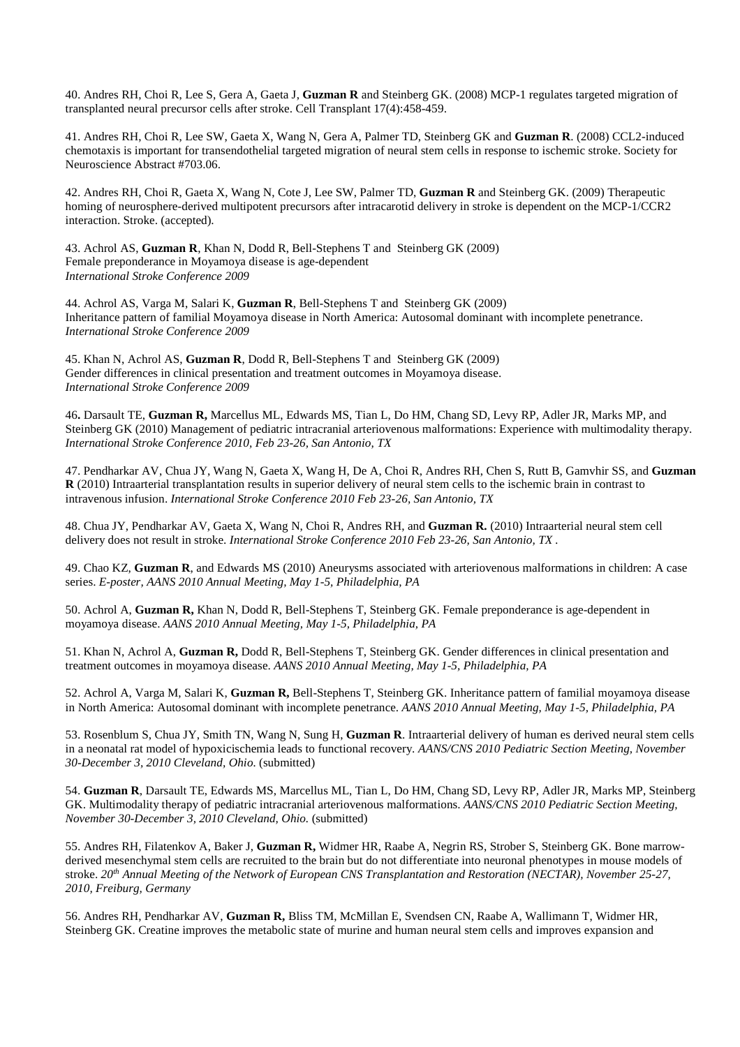40. Andres RH, Choi R, Lee S, Gera A, Gaeta J, **Guzman R** and Steinberg GK. (2008) MCP-1 regulates targeted migration of transplanted neural precursor cells after stroke. Cell Transplant 17(4):458-459.

41. Andres RH, Choi R, Lee SW, Gaeta X, Wang N, Gera A, Palmer TD, Steinberg GK and **Guzman R**. (2008) CCL2-induced chemotaxis is important for transendothelial targeted migration of neural stem cells in response to ischemic stroke. Society for Neuroscience Abstract #703.06.

42. Andres RH, Choi R, Gaeta X, Wang N, Cote J, Lee SW, Palmer TD, **Guzman R** and Steinberg GK. (2009) Therapeutic homing of neurosphere-derived multipotent precursors after intracarotid delivery in stroke is dependent on the MCP-1/CCR2 interaction. Stroke. (accepted).

43. Achrol AS, **Guzman R**, Khan N, Dodd R, Bell-Stephens T and Steinberg GK (2009) Female preponderance in Moyamoya disease is age-dependent *International Stroke Conference 2009* 

44. Achrol AS, Varga M, Salari K, **Guzman R**, Bell-Stephens T and Steinberg GK (2009) Inheritance pattern of familial Moyamoya disease in North America: Autosomal dominant with incomplete penetrance. *International Stroke Conference 2009* 

45. Khan N, Achrol AS, **Guzman R**, Dodd R, Bell-Stephens T and Steinberg GK (2009) Gender differences in clinical presentation and treatment outcomes in Moyamoya disease. *International Stroke Conference 2009* 

46**.** Darsault TE, **Guzman R,** Marcellus ML, Edwards MS, Tian L, Do HM, Chang SD, Levy RP, Adler JR, Marks MP, and Steinberg GK (2010) Management of pediatric intracranial arteriovenous malformations: Experience with multimodality therapy. *International Stroke Conference 2010, Feb 23-26, San Antonio, TX*

47. Pendharkar AV, Chua JY, Wang N, Gaeta X, Wang H, De A, Choi R, Andres RH, Chen S, Rutt B, Gamvhir SS, and **Guzman R** (2010) Intraarterial transplantation results in superior delivery of neural stem cells to the ischemic brain in contrast to intravenous infusion. *International Stroke Conference 2010 Feb 23-26, San Antonio, TX* 

48. Chua JY, Pendharkar AV, Gaeta X, Wang N, Choi R, Andres RH, and **Guzman R.** (2010) Intraarterial neural stem cell delivery does not result in stroke. *International Stroke Conference 2010 Feb 23-26, San Antonio, TX .* 

49. Chao KZ, **Guzman R**, and Edwards MS (2010) Aneurysms associated with arteriovenous malformations in children: A case series. *E-poster, AANS 2010 Annual Meeting, May 1-5, Philadelphia, PA* 

50. Achrol A, **Guzman R,** Khan N, Dodd R, Bell-Stephens T, Steinberg GK. Female preponderance is age-dependent in moyamoya disease. *AANS 2010 Annual Meeting, May 1-5, Philadelphia, PA*

51. Khan N, Achrol A, **Guzman R,** Dodd R, Bell-Stephens T, Steinberg GK. Gender differences in clinical presentation and treatment outcomes in moyamoya disease. *AANS 2010 Annual Meeting, May 1-5, Philadelphia, PA*

52. Achrol A, Varga M, Salari K, **Guzman R,** Bell-Stephens T, Steinberg GK. Inheritance pattern of familial moyamoya disease in North America: Autosomal dominant with incomplete penetrance. *AANS 2010 Annual Meeting, May 1-5, Philadelphia, PA*

53. Rosenblum S, Chua JY, Smith TN, Wang N, Sung H, **Guzman R**. Intraarterial delivery of human es derived neural stem cells in a neonatal rat model of hypoxicischemia leads to functional recovery. *AANS/CNS 2010 Pediatric Section Meeting, November 30-December 3, 2010 Cleveland, Ohio.* (submitted)

54. **Guzman R**, Darsault TE, Edwards MS, Marcellus ML, Tian L, Do HM, Chang SD, Levy RP, Adler JR, Marks MP, Steinberg GK. Multimodality therapy of pediatric intracranial arteriovenous malformations. *AANS/CNS 2010 Pediatric Section Meeting, November 30-December 3, 2010 Cleveland, Ohio.* (submitted)

55. Andres RH, Filatenkov A, Baker J, **Guzman R,** Widmer HR, Raabe A, Negrin RS, Strober S, Steinberg GK. Bone marrowderived mesenchymal stem cells are recruited to the brain but do not differentiate into neuronal phenotypes in mouse models of stroke. *20th Annual Meeting of the Network of European CNS Transplantation and Restoration (NECTAR), November 25-27, 2010, Freiburg, Germany* 

56. Andres RH, Pendharkar AV, **Guzman R,** Bliss TM, McMillan E, Svendsen CN, Raabe A, Wallimann T, Widmer HR, Steinberg GK. Creatine improves the metabolic state of murine and human neural stem cells and improves expansion and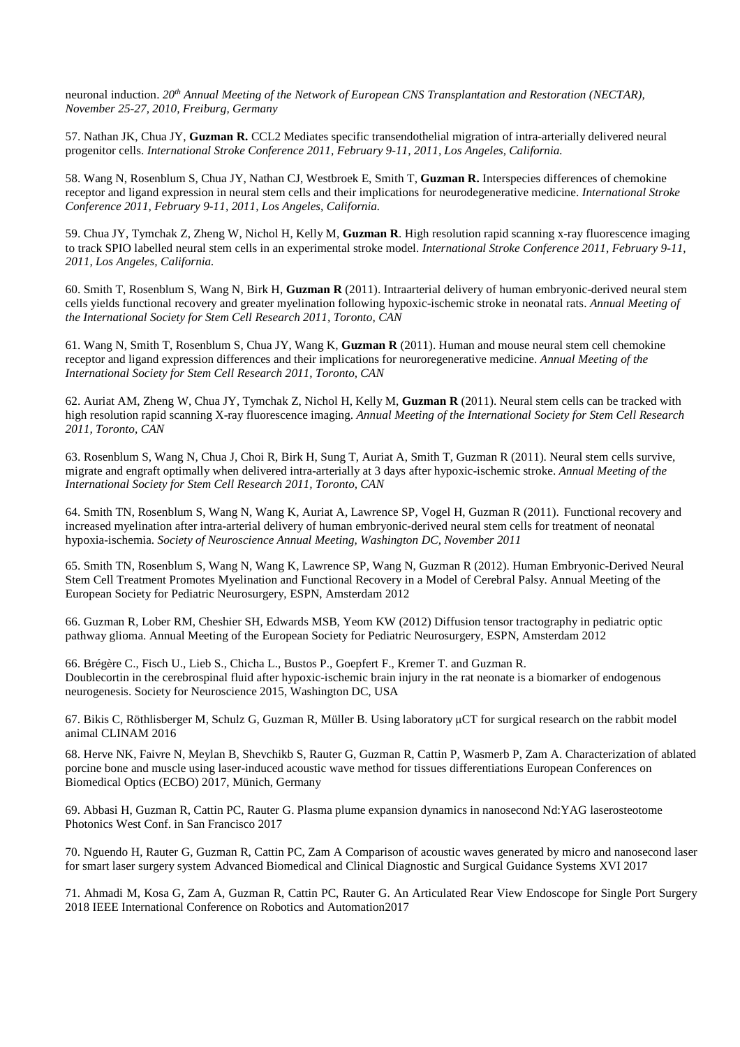neuronal induction. *20th Annual Meeting of the Network of European CNS Transplantation and Restoration (NECTAR), November 25-27, 2010, Freiburg, Germany* 

57. Nathan JK, Chua JY, **Guzman R.** CCL2 Mediates specific transendothelial migration of intra-arterially delivered neural progenitor cells. *International Stroke Conference 2011, February 9-11, 2011, Los Angeles, California.* 

58. Wang N, Rosenblum S, Chua JY, Nathan CJ, Westbroek E, Smith T, **Guzman R.** Interspecies differences of chemokine receptor and ligand expression in neural stem cells and their implications for neurodegenerative medicine. *International Stroke Conference 2011, February 9-11, 2011, Los Angeles, California.* 

59. Chua JY, Tymchak Z, Zheng W, Nichol H, Kelly M, **Guzman R**. High resolution rapid scanning x-ray fluorescence imaging to track SPIO labelled neural stem cells in an experimental stroke model. *International Stroke Conference 2011, February 9-11, 2011, Los Angeles, California.* 

60. Smith T, Rosenblum S, Wang N, Birk H, **Guzman R** (2011). Intraarterial delivery of human embryonic-derived neural stem cells yields functional recovery and greater myelination following hypoxic-ischemic stroke in neonatal rats. *Annual Meeting of the International Society for Stem Cell Research 2011, Toronto, CAN* 

61. Wang N, Smith T, Rosenblum S, Chua JY, Wang K, **Guzman R** (2011). Human and mouse neural stem cell chemokine receptor and ligand expression differences and their implications for neuroregenerative medicine. *Annual Meeting of the International Society for Stem Cell Research 2011, Toronto, CAN* 

62. Auriat AM, Zheng W, Chua JY, Tymchak Z, Nichol H, Kelly M, **Guzman R** (2011). Neural stem cells can be tracked with high resolution rapid scanning X-ray fluorescence imaging. *Annual Meeting of the International Society for Stem Cell Research 2011, Toronto, CAN* 

63. Rosenblum S, Wang N, Chua J, Choi R, Birk H, Sung T, Auriat A, Smith T, Guzman R (2011). Neural stem cells survive, migrate and engraft optimally when delivered intra-arterially at 3 days after hypoxic-ischemic stroke. *Annual Meeting of the International Society for Stem Cell Research 2011, Toronto, CAN* 

64. Smith TN, Rosenblum S, Wang N, Wang K, Auriat A, Lawrence SP, Vogel H, Guzman R (2011). Functional recovery and increased myelination after intra-arterial delivery of human embryonic-derived neural stem cells for treatment of neonatal hypoxia-ischemia. *Society of Neuroscience Annual Meeting, Washington DC, November 2011*

65. Smith TN, Rosenblum S, Wang N, Wang K, Lawrence SP, Wang N, Guzman R (2012). Human Embryonic-Derived Neural Stem Cell Treatment Promotes Myelination and Functional Recovery in a Model of Cerebral Palsy. Annual Meeting of the European Society for Pediatric Neurosurgery, ESPN, Amsterdam 2012

66. Guzman R, Lober RM, Cheshier SH, Edwards MSB, Yeom KW (2012) Diffusion tensor tractography in pediatric optic pathway glioma. Annual Meeting of the European Society for Pediatric Neurosurgery, ESPN, Amsterdam 2012

66. Brégère C., Fisch U., Lieb S., Chicha L., Bustos P., Goepfert F., Kremer T. and Guzman R. Doublecortin in the cerebrospinal fluid after hypoxic-ischemic brain injury in the rat neonate is a biomarker of endogenous neurogenesis. Society for Neuroscience 2015, Washington DC, USA

67. Bikis C, Röthlisberger M, Schulz G, Guzman R, Müller B. Using laboratory µCT for surgical research on the rabbit model animal CLINAM 2016

68. Herve NK, Faivre N, Meylan B, Shevchikb S, Rauter G, Guzman R, Cattin P, Wasmerb P, Zam A. Characterization of ablated porcine bone and muscle using laser-induced acoustic wave method for tissues differentiations European Conferences on Biomedical Optics (ECBO) 2017, Münich, Germany

69. Abbasi H, Guzman R, Cattin PC, Rauter G. Plasma plume expansion dynamics in nanosecond Nd:YAG laserosteotome Photonics West Conf. in San Francisco 2017

70. Nguendo H, Rauter G, Guzman R, Cattin PC, Zam A Comparison of acoustic waves generated by micro and nanosecond laser for smart laser surgery system Advanced Biomedical and Clinical Diagnostic and Surgical Guidance Systems XVI 2017

71. Ahmadi M, Kosa G, Zam A, Guzman R, Cattin PC, Rauter G. An Articulated Rear View Endoscope for Single Port Surgery 2018 IEEE International Conference on Robotics and Automation2017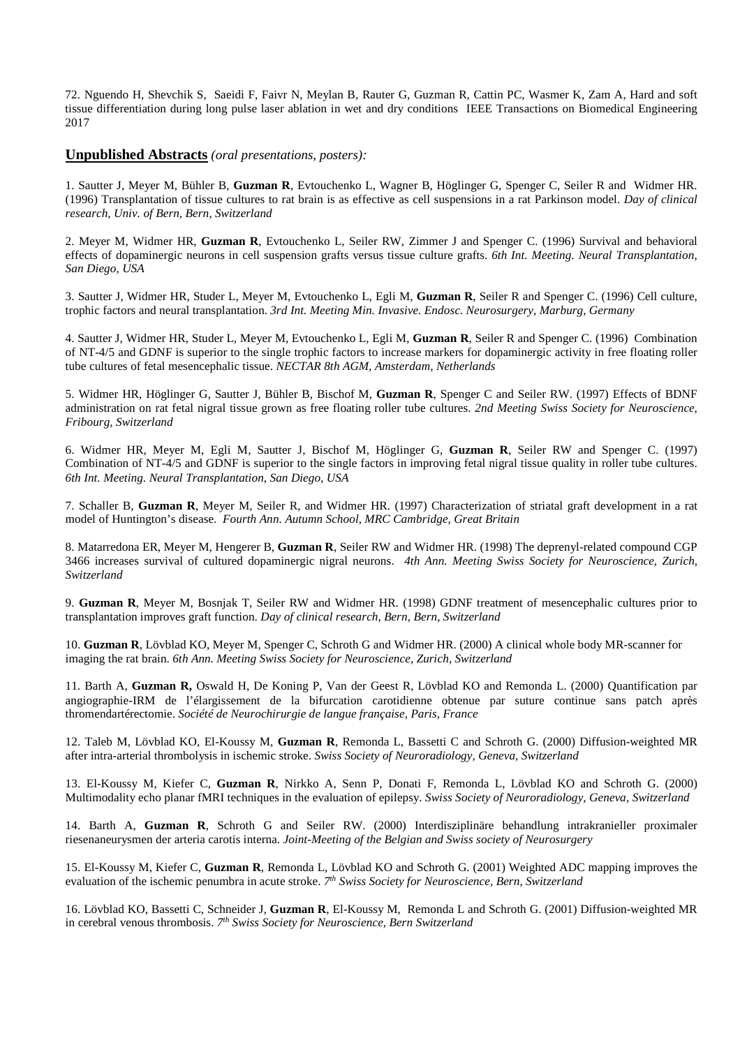72. Nguendo H, Shevchik S, Saeidi F, Faivr N, Meylan B, Rauter G, Guzman R, Cattin PC, Wasmer K, Zam A, Hard and soft tissue differentiation during long pulse laser ablation in wet and dry conditions IEEE Transactions on Biomedical Engineering 2017

#### **Unpublished Abstracts** *(oral presentations, posters):*

1. Sautter J, Meyer M, Bühler B, **Guzman R**, Evtouchenko L, Wagner B, Höglinger G, Spenger C, Seiler R and Widmer HR. (1996) Transplantation of tissue cultures to rat brain is as effective as cell suspensions in a rat Parkinson model. *Day of clinical research, Univ. of Bern, Bern, Switzerland* 

2. Meyer M, Widmer HR, **Guzman R**, Evtouchenko L, Seiler RW, Zimmer J and Spenger C. (1996) Survival and behavioral effects of dopaminergic neurons in cell suspension grafts versus tissue culture grafts. *6th Int. Meeting. Neural Transplantation, San Diego, USA* 

3. Sautter J, Widmer HR, Studer L, Meyer M, Evtouchenko L, Egli M, **Guzman R**, Seiler R and Spenger C. (1996) Cell culture, trophic factors and neural transplantation. *3rd Int. Meeting Min. Invasive. Endosc. Neurosurgery, Marburg, Germany* 

4. Sautter J, Widmer HR, Studer L, Meyer M, Evtouchenko L, Egli M, **Guzman R**, Seiler R and Spenger C. (1996) Combination of NT-4/5 and GDNF is superior to the single trophic factors to increase markers for dopaminergic activity in free floating roller tube cultures of fetal mesencephalic tissue. *NECTAR 8th AGM, Amsterdam, Netherlands* 

5. Widmer HR, Höglinger G, Sautter J, Bühler B, Bischof M, **Guzman R**, Spenger C and Seiler RW. (1997) Effects of BDNF administration on rat fetal nigral tissue grown as free floating roller tube cultures. *2nd Meeting Swiss Society for Neuroscience, Fribourg, Switzerland* 

6. Widmer HR, Meyer M, Egli M, Sautter J, Bischof M, Höglinger G, **Guzman R**, Seiler RW and Spenger C. (1997) Combination of NT-4/5 and GDNF is superior to the single factors in improving fetal nigral tissue quality in roller tube cultures. *6th Int. Meeting. Neural Transplantation, San Diego, USA*

7. Schaller B, **Guzman R**, Meyer M, Seiler R, and Widmer HR. (1997) Characterization of striatal graft development in a rat model of Huntington's disease. *Fourth Ann. Autumn School, MRC Cambridge, Great Britain*

8. Matarredona ER, Meyer M, Hengerer B, **Guzman R**, Seiler RW and Widmer HR. (1998) The deprenyl-related compound CGP 3466 increases survival of cultured dopaminergic nigral neurons. *4th Ann. Meeting Swiss Society for Neuroscience, Zurich, Switzerland* 

9. **Guzman R**, Meyer M, Bosnjak T, Seiler RW and Widmer HR. (1998) GDNF treatment of mesencephalic cultures prior to transplantation improves graft function. *Day of clinical research, Bern, Bern, Switzerland* 

10. **Guzman R**, Lövblad KO, Meyer M, Spenger C, Schroth G and Widmer HR. (2000) A clinical whole body MR-scanner for imaging the rat brain. *6th Ann. Meeting Swiss Society for Neuroscience, Zurich, Switzerland* 

11. Barth A, **Guzman R,** Oswald H, De Koning P, Van der Geest R, Lövblad KO and Remonda L. (2000) Quantification par angiographie-IRM de l'élargissement de la bifurcation carotidienne obtenue par suture continue sans patch après thromendartérectomie. *Société de Neurochirurgie de langue française, Paris, France*

12. Taleb M, Lövblad KO, El-Koussy M, **Guzman R**, Remonda L, Bassetti C and Schroth G. (2000) Diffusion-weighted MR after intra-arterial thrombolysis in ischemic stroke. *Swiss Society of Neuroradiology, Geneva, Switzerland* 

13. El-Koussy M, Kiefer C, **Guzman R**, Nirkko A, Senn P, Donati F, Remonda L, Lövblad KO and Schroth G. (2000) Multimodality echo planar fMRI techniques in the evaluation of epilepsy. *Swiss Society of Neuroradiology, Geneva, Switzerland* 

14. Barth A, **Guzman R**, Schroth G and Seiler RW. (2000) Interdisziplinäre behandlung intrakranieller proximaler riesenaneurysmen der arteria carotis interna. *Joint-Meeting of the Belgian and Swiss society of Neurosurgery* 

15. El-Koussy M, Kiefer C, **Guzman R**, Remonda L, Lövblad KO and Schroth G. (2001) Weighted ADC mapping improves the evaluation of the ischemic penumbra in acute stroke. *7 th Swiss Society for Neuroscience, Bern, Switzerland* 

16. Lövblad KO, Bassetti C, Schneider J, **Guzman R**, El-Koussy M, Remonda L and Schroth G. (2001) Diffusion-weighted MR in cerebral venous thrombosis. *7 th Swiss Society for Neuroscience, Bern Switzerland*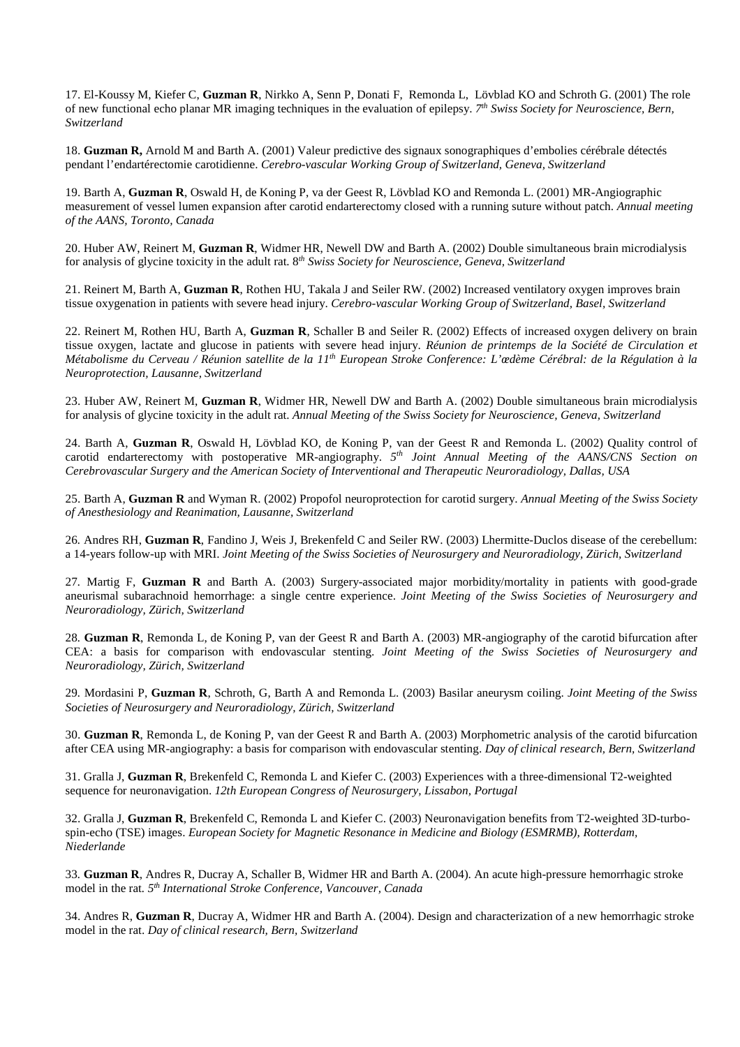17. El-Koussy M, Kiefer C, **Guzman R**, Nirkko A, Senn P, Donati F, Remonda L, Lövblad KO and Schroth G. (2001) The role of new functional echo planar MR imaging techniques in the evaluation of epilepsy. *7 th Swiss Society for Neuroscience, Bern, Switzerland* 

18. **Guzman R,** Arnold M and Barth A. (2001) Valeur predictive des signaux sonographiques d'embolies cérébrale détectés pendant l'endartérectomie carotidienne. *Cerebro-vascular Working Group of Switzerland, Geneva, Switzerland*

19. Barth A, **Guzman R**, Oswald H, de Koning P, va der Geest R, Lövblad KO and Remonda L. (2001) MR-Angiographic measurement of vessel lumen expansion after carotid endarterectomy closed with a running suture without patch. *Annual meeting of the AANS, Toronto, Canada* 

20. Huber AW, Reinert M, **Guzman R**, Widmer HR, Newell DW and Barth A. (2002) Double simultaneous brain microdialysis for analysis of glycine toxicity in the adult rat. 8 *th Swiss Society for Neuroscience, Geneva, Switzerland* 

21. Reinert M, Barth A, **Guzman R**, Rothen HU, Takala J and Seiler RW. (2002) Increased ventilatory oxygen improves brain tissue oxygenation in patients with severe head injury. *Cerebro-vascular Working Group of Switzerland, Basel, Switzerland*

22. Reinert M, Rothen HU, Barth A, **Guzman R**, Schaller B and Seiler R. (2002) Effects of increased oxygen delivery on brain tissue oxygen, lactate and glucose in patients with severe head injury. *Réunion de printemps de la Société de Circulation et Métabolisme du Cerveau / Réunion satellite de la 11th European Stroke Conference: L'œdème Cérébral: de la Régulation à la Neuroprotection, Lausanne, Switzerland* 

23. Huber AW, Reinert M, **Guzman R**, Widmer HR, Newell DW and Barth A. (2002) Double simultaneous brain microdialysis for analysis of glycine toxicity in the adult rat. *Annual Meeting of the Swiss Society for Neuroscience, Geneva, Switzerland* 

24. Barth A, **Guzman R**, Oswald H, Lövblad KO, de Koning P, van der Geest R and Remonda L. (2002) Quality control of carotid endarterectomy with postoperative MR-angiography. *5 th Joint Annual Meeting of the AANS/CNS Section on Cerebrovascular Surgery and the American Society of Interventional and Therapeutic Neuroradiology, Dallas, USA* 

25. Barth A, **Guzman R** and Wyman R. (2002) Propofol neuroprotection for carotid surgery. *Annual Meeting of the Swiss Society of Anesthesiology and Reanimation, Lausanne, Switzerland* 

26*.* Andres RH, **Guzman R**, Fandino J, Weis J, Brekenfeld C and Seiler RW. (2003) Lhermitte-Duclos disease of the cerebellum: a 14-years follow-up with MRI. *Joint Meeting of the Swiss Societies of Neurosurgery and Neuroradiology, Zürich, Switzerland* 

27*.* Martig F, **Guzman R** and Barth A. (2003) Surgery-associated major morbidity/mortality in patients with good-grade aneurismal subarachnoid hemorrhage: a single centre experience. *Joint Meeting of the Swiss Societies of Neurosurgery and Neuroradiology, Zürich, Switzerland* 

28*.* **Guzman R**, Remonda L, de Koning P, van der Geest R and Barth A. (2003) MR-angiography of the carotid bifurcation after CEA: a basis for comparison with endovascular stenting. *Joint Meeting of the Swiss Societies of Neurosurgery and Neuroradiology, Zürich, Switzerland* 

29*.* Mordasini P, **Guzman R**, Schroth, G, Barth A and Remonda L. (2003) Basilar aneurysm coiling. *Joint Meeting of the Swiss Societies of Neurosurgery and Neuroradiology, Zürich, Switzerland* 

30. **Guzman R**, Remonda L, de Koning P, van der Geest R and Barth A. (2003) Morphometric analysis of the carotid bifurcation after CEA using MR-angiography: a basis for comparison with endovascular stenting. *Day of clinical research, Bern, Switzerland* 

31. Gralla J, **Guzman R**, Brekenfeld C, Remonda L and Kiefer C. (2003) Experiences with a three-dimensional T2-weighted sequence for neuronavigation. *12th European Congress of Neurosurgery, Lissabon, Portugal* 

32. Gralla J, **Guzman R**, Brekenfeld C, Remonda L and Kiefer C. (2003) Neuronavigation benefits from T2-weighted 3D-turbospin-echo (TSE) images. *European Society for Magnetic Resonance in Medicine and Biology (ESMRMB), Rotterdam, Niederlande* 

33*.* **Guzman R**, Andres R, Ducray A, Schaller B, Widmer HR and Barth A. (2004). An acute high-pressure hemorrhagic stroke model in the rat*. 5th International Stroke Conference, Vancouver, Canada*

34. Andres R, **Guzman R**, Ducray A, Widmer HR and Barth A. (2004). Design and characterization of a new hemorrhagic stroke model in the rat. *Day of clinical research, Bern, Switzerland*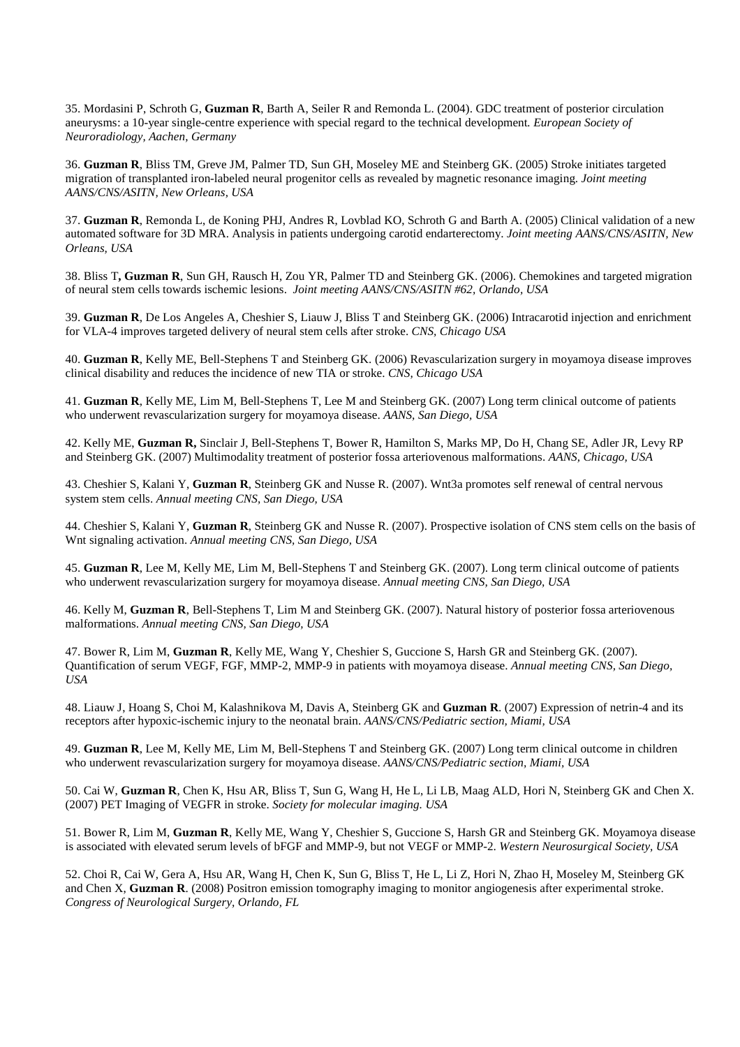35. Mordasini P, Schroth G, **Guzman R**, Barth A, Seiler R and Remonda L. (2004). GDC treatment of posterior circulation aneurysms: a 10-year single-centre experience with special regard to the technical development*. European Society of Neuroradiology, Aachen, Germany* 

36. **Guzman R**, Bliss TM, Greve JM, Palmer TD, Sun GH, Moseley ME and Steinberg GK. (2005) Stroke initiates targeted migration of transplanted iron-labeled neural progenitor cells as revealed by magnetic resonance imaging. *Joint meeting AANS/CNS/ASITN, New Orleans, USA* 

37. **Guzman R**, Remonda L, de Koning PHJ, Andres R, Lovblad KO, Schroth G and Barth A. (2005) Clinical validation of a new automated software for 3D MRA. Analysis in patients undergoing carotid endarterectomy. *Joint meeting AANS/CNS/ASITN, New Orleans, USA* 

38. Bliss T**, Guzman R**, Sun GH, Rausch H, Zou YR, Palmer TD and Steinberg GK. (2006). Chemokines and targeted migration of neural stem cells towards ischemic lesions. *Joint meeting AANS/CNS/ASITN #62, Orlando, USA* 

39. **Guzman R**, De Los Angeles A, Cheshier S, Liauw J, Bliss T and Steinberg GK. (2006) Intracarotid injection and enrichment for VLA-4 improves targeted delivery of neural stem cells after stroke. *CNS, Chicago USA*

40. **Guzman R**, Kelly ME, Bell-Stephens T and Steinberg GK. (2006) Revascularization surgery in moyamoya disease improves clinical disability and reduces the incidence of new TIA or stroke. *CNS, Chicago USA* 

41. **Guzman R**, Kelly ME, Lim M, Bell-Stephens T, Lee M and Steinberg GK. (2007) Long term clinical outcome of patients who underwent revascularization surgery for moyamoya disease. *AANS, San Diego, USA* 

42. Kelly ME, **Guzman R,** Sinclair J, Bell-Stephens T, Bower R, Hamilton S, Marks MP, Do H, Chang SE, Adler JR, Levy RP and Steinberg GK. (2007) Multimodality treatment of posterior fossa arteriovenous malformations. *AANS, Chicago, USA*

43. Cheshier S, Kalani Y, **Guzman R**, Steinberg GK and Nusse R. (2007). Wnt3a promotes self renewal of central nervous system stem cells. *Annual meeting CNS, San Diego, USA* 

44. Cheshier S, Kalani Y, **Guzman R**, Steinberg GK and Nusse R. (2007). Prospective isolation of CNS stem cells on the basis of Wnt signaling activation. *Annual meeting CNS, San Diego, USA* 

45. **Guzman R**, Lee M, Kelly ME, Lim M, Bell-Stephens T and Steinberg GK. (2007). Long term clinical outcome of patients who underwent revascularization surgery for moyamoya disease. *Annual meeting CNS, San Diego, USA* 

46. Kelly M, **Guzman R**, Bell-Stephens T, Lim M and Steinberg GK. (2007). Natural history of posterior fossa arteriovenous malformations. *Annual meeting CNS, San Diego, USA* 

47. Bower R, Lim M, **Guzman R**, Kelly ME, Wang Y, Cheshier S, Guccione S, Harsh GR and Steinberg GK. (2007). Quantification of serum VEGF, FGF, MMP-2, MMP-9 in patients with moyamoya disease. *Annual meeting CNS, San Diego, USA* 

48. Liauw J, Hoang S, Choi M, Kalashnikova M, Davis A, Steinberg GK and **Guzman R**. (2007) Expression of netrin-4 and its receptors after hypoxic-ischemic injury to the neonatal brain. *AANS/CNS/Pediatric section, Miami, USA* 

49. **Guzman R**, Lee M, Kelly ME, Lim M, Bell-Stephens T and Steinberg GK. (2007) Long term clinical outcome in children who underwent revascularization surgery for moyamoya disease. *AANS/CNS/Pediatric section, Miami, USA* 

50. Cai W, **Guzman R**, Chen K, Hsu AR, Bliss T, Sun G, Wang H, He L, Li LB, Maag ALD, Hori N, Steinberg GK and Chen X. (2007) PET Imaging of VEGFR in stroke. *Society for molecular imaging. USA* 

51. Bower R, Lim M, **Guzman R**, Kelly ME, Wang Y, Cheshier S, Guccione S, Harsh GR and Steinberg GK. Moyamoya disease is associated with elevated serum levels of bFGF and MMP-9, but not VEGF or MMP-2. *Western Neurosurgical Society, USA* 

52. Choi R, Cai W, Gera A, Hsu AR, Wang H, Chen K, Sun G, Bliss T, He L, Li Z, Hori N, Zhao H, Moseley M, Steinberg GK and Chen X, **Guzman R**. (2008) Positron emission tomography imaging to monitor angiogenesis after experimental stroke. *Congress of Neurological Surgery, Orlando, FL*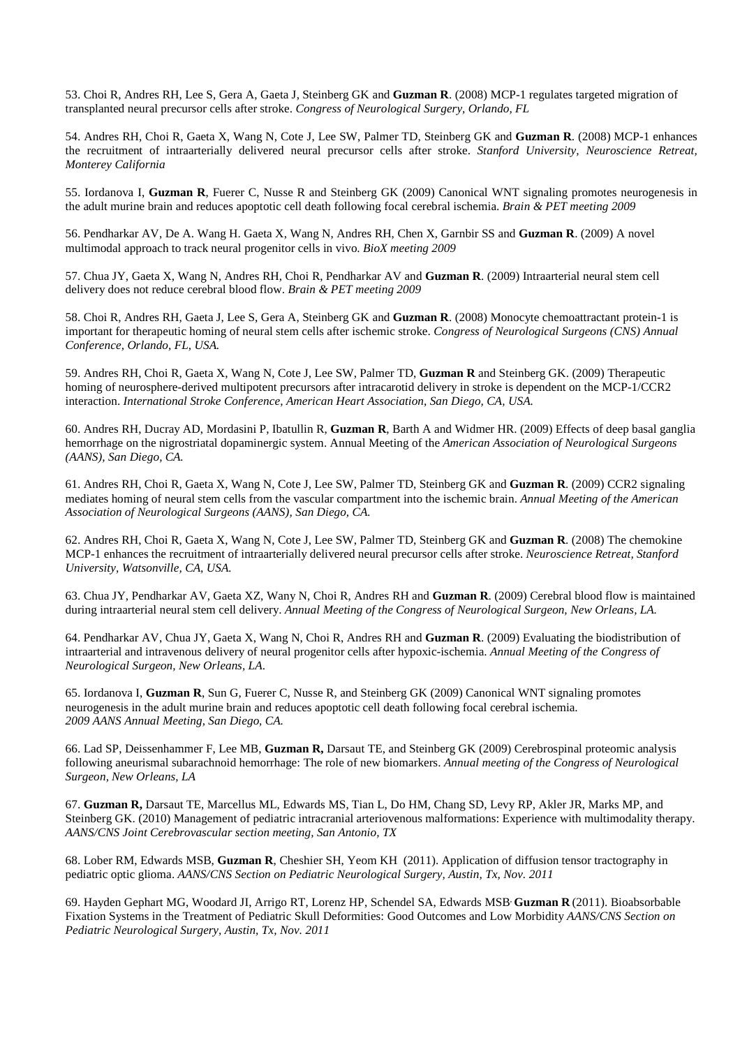53. Choi R, Andres RH, Lee S, Gera A, Gaeta J, Steinberg GK and **Guzman R**. (2008) MCP-1 regulates targeted migration of transplanted neural precursor cells after stroke. *Congress of Neurological Surgery, Orlando, FL* 

54. Andres RH, Choi R, Gaeta X, Wang N, Cote J, Lee SW, Palmer TD, Steinberg GK and **Guzman R**. (2008) MCP-1 enhances the recruitment of intraarterially delivered neural precursor cells after stroke. *Stanford University, Neuroscience Retreat, Monterey California* 

55. Iordanova I, **Guzman R**, Fuerer C, Nusse R and Steinberg GK (2009) Canonical WNT signaling promotes neurogenesis in the adult murine brain and reduces apoptotic cell death following focal cerebral ischemia. *Brain & PET meeting 2009* 

56. Pendharkar AV, De A. Wang H. Gaeta X, Wang N, Andres RH, Chen X, Garnbir SS and **Guzman R**. (2009) A novel multimodal approach to track neural progenitor cells in vivo. *BioX meeting 2009*

57. Chua JY, Gaeta X, Wang N, Andres RH, Choi R, Pendharkar AV and **Guzman R**. (2009) Intraarterial neural stem cell delivery does not reduce cerebral blood flow. *Brain & PET meeting 2009*

58. Choi R, Andres RH, Gaeta J, Lee S, Gera A, Steinberg GK and **Guzman R**. (2008) Monocyte chemoattractant protein-1 is important for therapeutic homing of neural stem cells after ischemic stroke. *Congress of Neurological Surgeons (CNS) Annual Conference, Orlando, FL, USA.* 

59. Andres RH, Choi R, Gaeta X, Wang N, Cote J, Lee SW, Palmer TD, **Guzman R** and Steinberg GK. (2009) Therapeutic homing of neurosphere-derived multipotent precursors after intracarotid delivery in stroke is dependent on the MCP-1/CCR2 interaction. *International Stroke Conference, American Heart Association, San Diego, CA, USA.* 

60. Andres RH, Ducray AD, Mordasini P, Ibatullin R, **Guzman R**, Barth A and Widmer HR. (2009) Effects of deep basal ganglia hemorrhage on the nigrostriatal dopaminergic system. Annual Meeting of the *American Association of Neurological Surgeons (AANS), San Diego, CA.* 

61. Andres RH, Choi R, Gaeta X, Wang N, Cote J, Lee SW, Palmer TD, Steinberg GK and **Guzman R**. (2009) CCR2 signaling mediates homing of neural stem cells from the vascular compartment into the ischemic brain. *Annual Meeting of the American Association of Neurological Surgeons (AANS), San Diego, CA.* 

62. Andres RH, Choi R, Gaeta X, Wang N, Cote J, Lee SW, Palmer TD, Steinberg GK and **Guzman R**. (2008) The chemokine MCP-1 enhances the recruitment of intraarterially delivered neural precursor cells after stroke. *Neuroscience Retreat, Stanford University, Watsonville, CA, USA.* 

63. Chua JY, Pendharkar AV, Gaeta XZ, Wany N, Choi R, Andres RH and **Guzman R**. (2009) Cerebral blood flow is maintained during intraarterial neural stem cell delivery. *Annual Meeting of the Congress of Neurological Surgeon, New Orleans, LA.* 

64. Pendharkar AV, Chua JY, Gaeta X, Wang N, Choi R, Andres RH and **Guzman R**. (2009) Evaluating the biodistribution of intraarterial and intravenous delivery of neural progenitor cells after hypoxic-ischemia. *Annual Meeting of the Congress of Neurological Surgeon, New Orleans, LA*.

65. Iordanova I, **Guzman R**, Sun G, Fuerer C, Nusse R, and Steinberg GK (2009) Canonical WNT signaling promotes neurogenesis in the adult murine brain and reduces apoptotic cell death following focal cerebral ischemia. *2009 AANS Annual Meeting, San Diego, CA.*

66. Lad SP, Deissenhammer F, Lee MB, **Guzman R,** Darsaut TE, and Steinberg GK (2009) Cerebrospinal proteomic analysis following aneurismal subarachnoid hemorrhage: The role of new biomarkers. *Annual meeting of the Congress of Neurological Surgeon, New Orleans, LA* 

67. **Guzman R,** Darsaut TE, Marcellus ML, Edwards MS, Tian L, Do HM, Chang SD, Levy RP, Akler JR, Marks MP, and Steinberg GK. (2010) Management of pediatric intracranial arteriovenous malformations: Experience with multimodality therapy. *AANS/CNS Joint Cerebrovascular section meeting, San Antonio, TX* 

68. Lober RM, Edwards MSB, **Guzman R**, Cheshier SH, Yeom KH (2011). Application of diffusion tensor tractography in pediatric optic glioma. *AANS/CNS Section on Pediatric Neurological Surgery, Austin, Tx, Nov. 2011* 

69. Hayden Gephart MG, Woodard JI, Arrigo RT, Lorenz HP, Schendel SA, Edwards MSB, **Guzman R** (2011). Bioabsorbable Fixation Systems in the Treatment of Pediatric Skull Deformities: Good Outcomes and Low Morbidity *AANS/CNS Section on Pediatric Neurological Surgery, Austin, Tx, Nov. 2011*